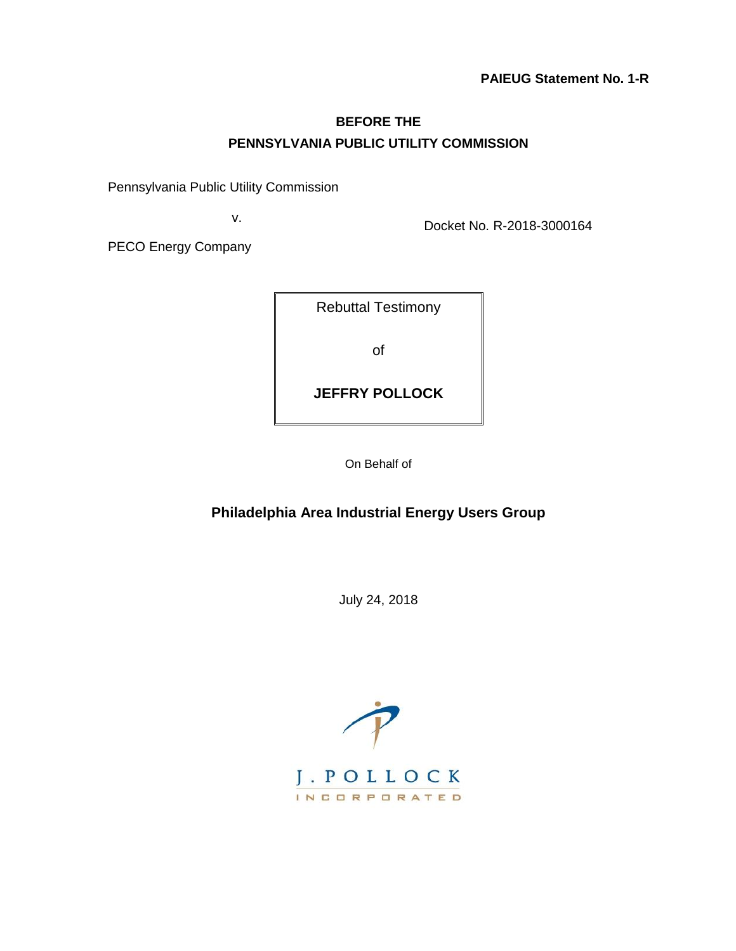### **BEFORE THE PENNSYLVANIA PUBLIC UTILITY COMMISSION**

Pennsylvania Public Utility Commission

v.

Docket No. R-2018-3000164

PECO Energy Company

| <b>Rebuttal Testimony</b> |  |
|---------------------------|--|
| Ωf                        |  |
| <b>JEFFRY POLLOCK</b>     |  |

On Behalf of

### **Philadelphia Area Industrial Energy Users Group**

July 24, 2018

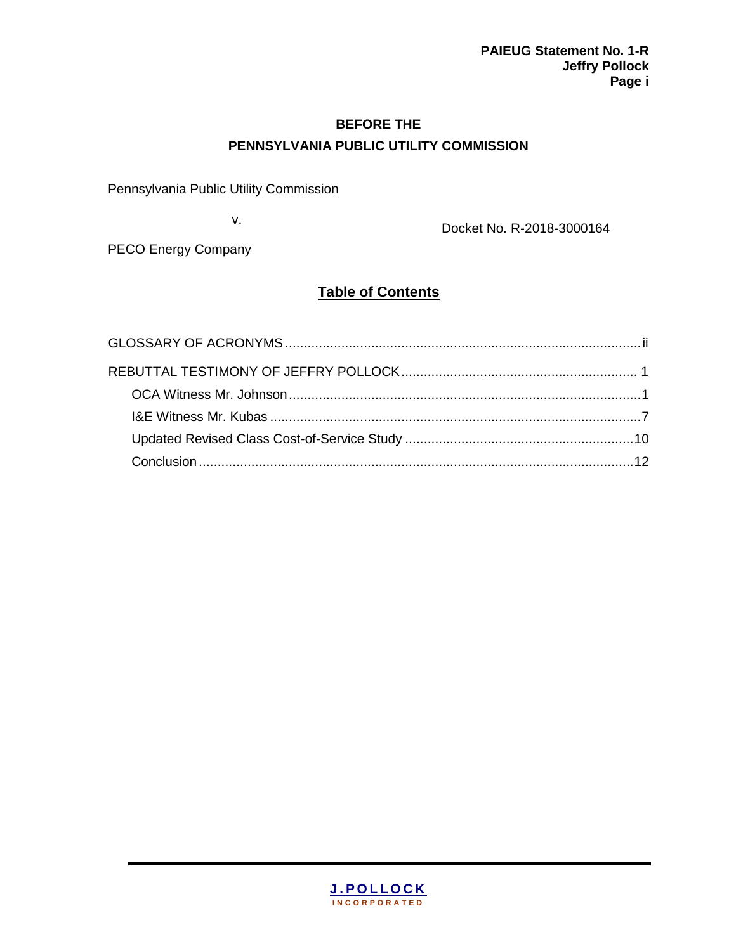### **BEFORE THE PENNSYLVANIA PUBLIC UTILITY COMMISSION**

Pennsylvania Public Utility Commission

v.

Docket No. R-2018-3000164

PECO Energy Company

## **Table of Contents**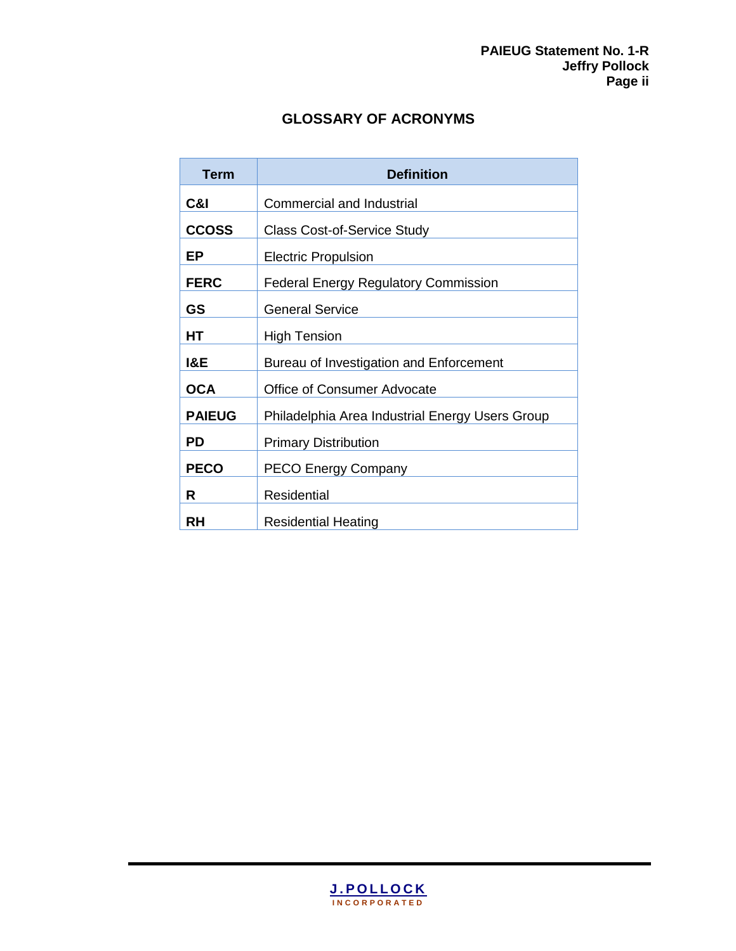## **GLOSSARY OF ACRONYMS**

| <b>Term</b>   | <b>Definition</b>                               |
|---------------|-------------------------------------------------|
| C&I           | <b>Commercial and Industrial</b>                |
| <b>CCOSS</b>  | <b>Class Cost-of-Service Study</b>              |
| ЕP            | <b>Electric Propulsion</b>                      |
| <b>FERC</b>   | <b>Federal Energy Regulatory Commission</b>     |
| GS            | <b>General Service</b>                          |
| HТ            | <b>High Tension</b>                             |
| I&E           | Bureau of Investigation and Enforcement         |
| <b>OCA</b>    | <b>Office of Consumer Advocate</b>              |
| <b>PAIEUG</b> | Philadelphia Area Industrial Energy Users Group |
| PD            | <b>Primary Distribution</b>                     |
| <b>PECO</b>   | <b>PECO Energy Company</b>                      |
| R             | Residential                                     |
| RH            | <b>Residential Heating</b>                      |

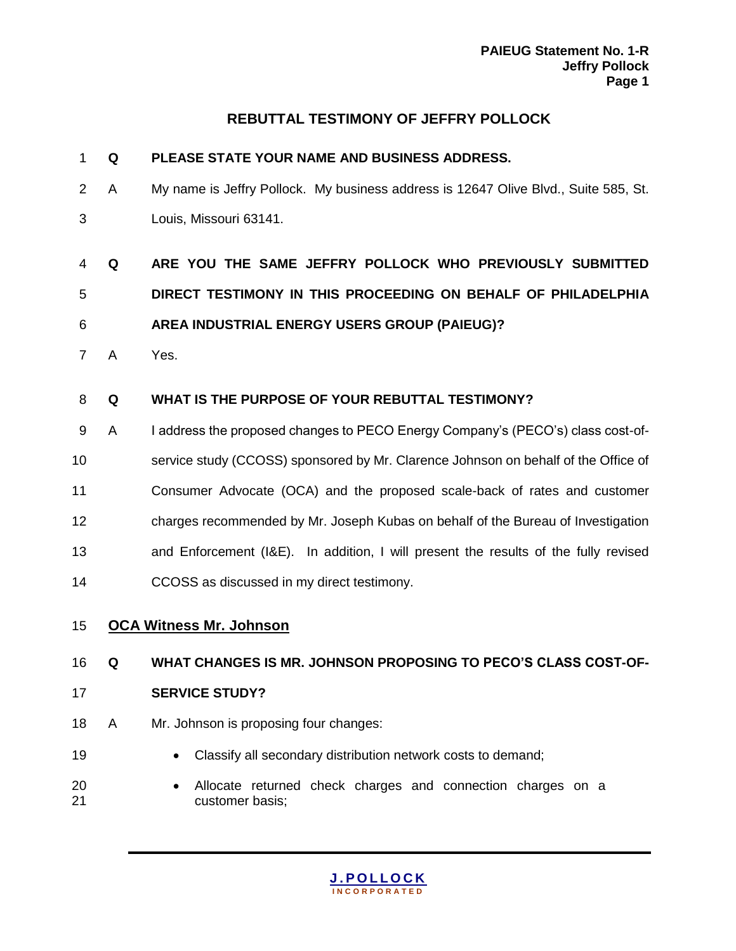## **REBUTTAL TESTIMONY OF JEFFRY POLLOCK**

| 1              | Q | PLEASE STATE YOUR NAME AND BUSINESS ADDRESS.                                        |
|----------------|---|-------------------------------------------------------------------------------------|
| $\overline{2}$ | A | My name is Jeffry Pollock. My business address is 12647 Olive Blvd., Suite 585, St. |
| 3              |   | Louis, Missouri 63141.                                                              |
| 4              | Q | ARE YOU THE SAME JEFFRY POLLOCK WHO PREVIOUSLY SUBMITTED                            |
| 5              |   | DIRECT TESTIMONY IN THIS PROCEEDING ON BEHALF OF PHILADELPHIA                       |
| 6              |   | AREA INDUSTRIAL ENERGY USERS GROUP (PAIEUG)?                                        |
| $\overline{7}$ | A | Yes.                                                                                |
| 8              | Q | WHAT IS THE PURPOSE OF YOUR REBUTTAL TESTIMONY?                                     |
| 9              | A | I address the proposed changes to PECO Energy Company's (PECO's) class cost-of-     |
| 10             |   | service study (CCOSS) sponsored by Mr. Clarence Johnson on behalf of the Office of  |
| 11             |   | Consumer Advocate (OCA) and the proposed scale-back of rates and customer           |
| 12             |   | charges recommended by Mr. Joseph Kubas on behalf of the Bureau of Investigation    |
| 13             |   | and Enforcement (I&E). In addition, I will present the results of the fully revised |
| 14             |   | CCOSS as discussed in my direct testimony.                                          |
| 15             |   | <b>OCA Witness Mr. Johnson</b>                                                      |
| 16             | Q | WHAT CHANGES IS MR. JOHNSON PROPOSING TO PECO'S CLASS COST-OF-                      |
| 17             |   | <b>SERVICE STUDY?</b>                                                               |
| 18             | A | Mr. Johnson is proposing four changes:                                              |
| 19             |   | Classify all secondary distribution network costs to demand;                        |
| 20<br>21       |   | Allocate returned check charges and connection charges on a<br>customer basis;      |

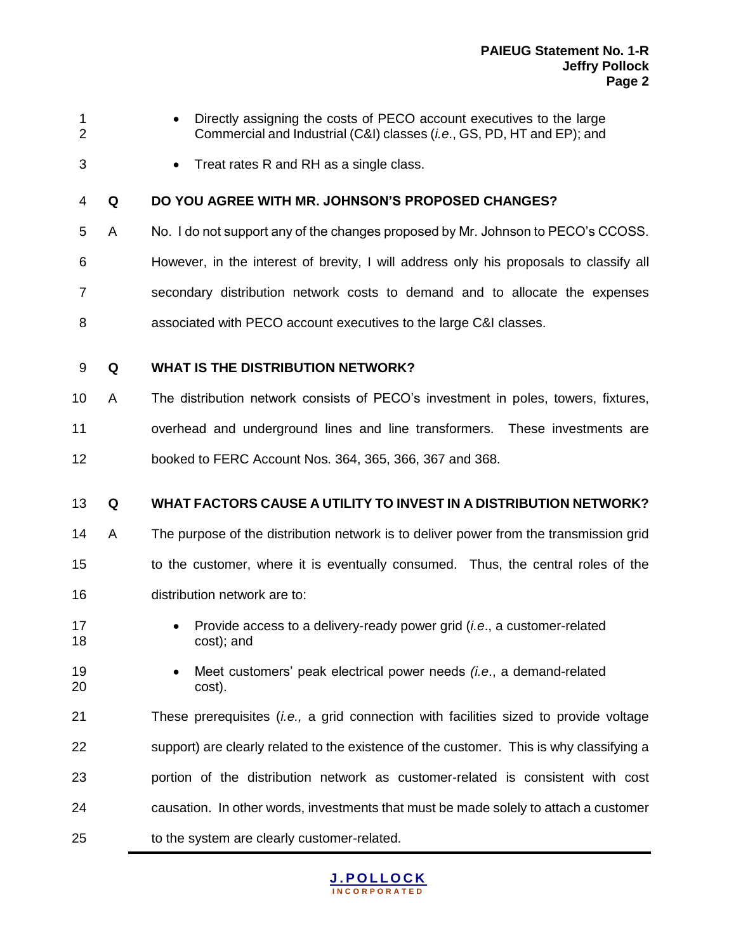- 
- **Directly assigning the costs of PECO account executives to the large** Commercial and Industrial (C&I) classes (*i.e*., GS, PD, HT and EP); and
- **Treat rates R and RH as a single class.**

#### **Q DO YOU AGREE WITH MR. JOHNSON'S PROPOSED CHANGES?**

- A No. I do not support any of the changes proposed by Mr. Johnson to PECO's CCOSS.
- However, in the interest of brevity, I will address only his proposals to classify all secondary distribution network costs to demand and to allocate the expenses associated with PECO account executives to the large C&I classes.
- **Q WHAT IS THE DISTRIBUTION NETWORK?**
- A The distribution network consists of PECO's investment in poles, towers, fixtures, overhead and underground lines and line transformers. These investments are booked to FERC Account Nos. 364, 365, 366, 367 and 368.

#### **Q WHAT FACTORS CAUSE A UTILITY TO INVEST IN A DISTRIBUTION NETWORK?**

- A The purpose of the distribution network is to deliver power from the transmission grid to the customer, where it is eventually consumed. Thus, the central roles of the distribution network are to:
- **•** Provide access to a delivery-ready power grid *(i.e., a customer-related* cost); and
- Meet customers' peak electrical power needs *(i.e*., a demand-related cost).
- These prerequisites (*i.e.,* a grid connection with facilities sized to provide voltage support) are clearly related to the existence of the customer. This is why classifying a portion of the distribution network as customer-related is consistent with cost causation. In other words, investments that must be made solely to attach a customer to the system are clearly customer-related.

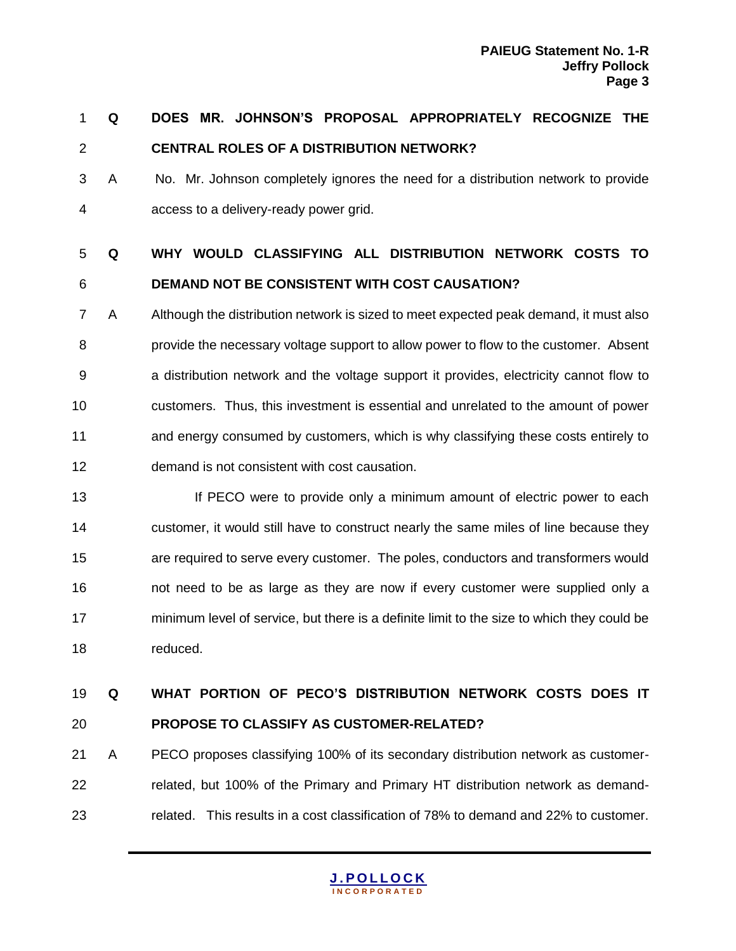# **Q DOES MR. JOHNSON'S PROPOSAL APPROPRIATELY RECOGNIZE THE CENTRAL ROLES OF A DISTRIBUTION NETWORK?**

 A No. Mr. Johnson completely ignores the need for a distribution network to provide access to a delivery-ready power grid.

# **Q WHY WOULD CLASSIFYING ALL DISTRIBUTION NETWORK COSTS TO DEMAND NOT BE CONSISTENT WITH COST CAUSATION?**

- A Although the distribution network is sized to meet expected peak demand, it must also provide the necessary voltage support to allow power to flow to the customer. Absent a distribution network and the voltage support it provides, electricity cannot flow to customers. Thus, this investment is essential and unrelated to the amount of power and energy consumed by customers, which is why classifying these costs entirely to demand is not consistent with cost causation.
- **If PECO** were to provide only a minimum amount of electric power to each customer, it would still have to construct nearly the same miles of line because they are required to serve every customer. The poles, conductors and transformers would not need to be as large as they are now if every customer were supplied only a minimum level of service, but there is a definite limit to the size to which they could be reduced.

# **Q WHAT PORTION OF PECO'S DISTRIBUTION NETWORK COSTS DOES IT PROPOSE TO CLASSIFY AS CUSTOMER-RELATED?**

 A PECO proposes classifying 100% of its secondary distribution network as customer- related, but 100% of the Primary and Primary HT distribution network as demand-related. This results in a cost classification of 78% to demand and 22% to customer.

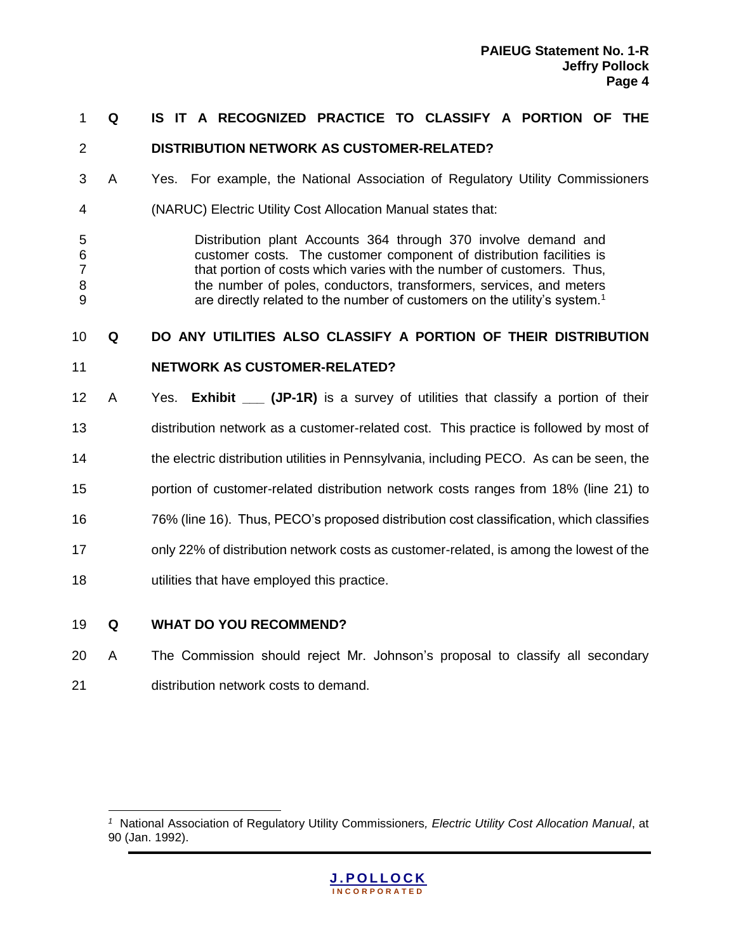#### **Q IS IT A RECOGNIZED PRACTICE TO CLASSIFY A PORTION OF THE**

#### **DISTRIBUTION NETWORK AS CUSTOMER-RELATED?**

- A Yes. For example, the National Association of Regulatory Utility Commissioners
- (NARUC) Electric Utility Cost Allocation Manual states that:
- Distribution plant Accounts 364 through 370 involve demand and customer costs. The customer component of distribution facilities is that portion of costs which varies with the number of customers. Thus, the number of poles, conductors, transformers, services, and meters are directly related to the number of customers on the utility's system.<sup>1</sup>

#### **Q DO ANY UTILITIES ALSO CLASSIFY A PORTION OF THEIR DISTRIBUTION**

- **NETWORK AS CUSTOMER-RELATED?**
- 12 A Yes. **Exhibit (JP-1R)** is a survey of utilities that classify a portion of their distribution network as a customer-related cost. This practice is followed by most of the electric distribution utilities in Pennsylvania, including PECO. As can be seen, the portion of customer-related distribution network costs ranges from 18% (line 21) to 76% (line 16). Thus, PECO's proposed distribution cost classification, which classifies only 22% of distribution network costs as customer-related, is among the lowest of the utilities that have employed this practice.

#### **Q WHAT DO YOU RECOMMEND?**

 A The Commission should reject Mr. Johnson's proposal to classify all secondary distribution network costs to demand.

<sup>&</sup>lt;sup>1</sup> National Association of Regulatory Utility Commissioners, Electric Utility Cost Allocation Manual, at 90 (Jan. 1992).

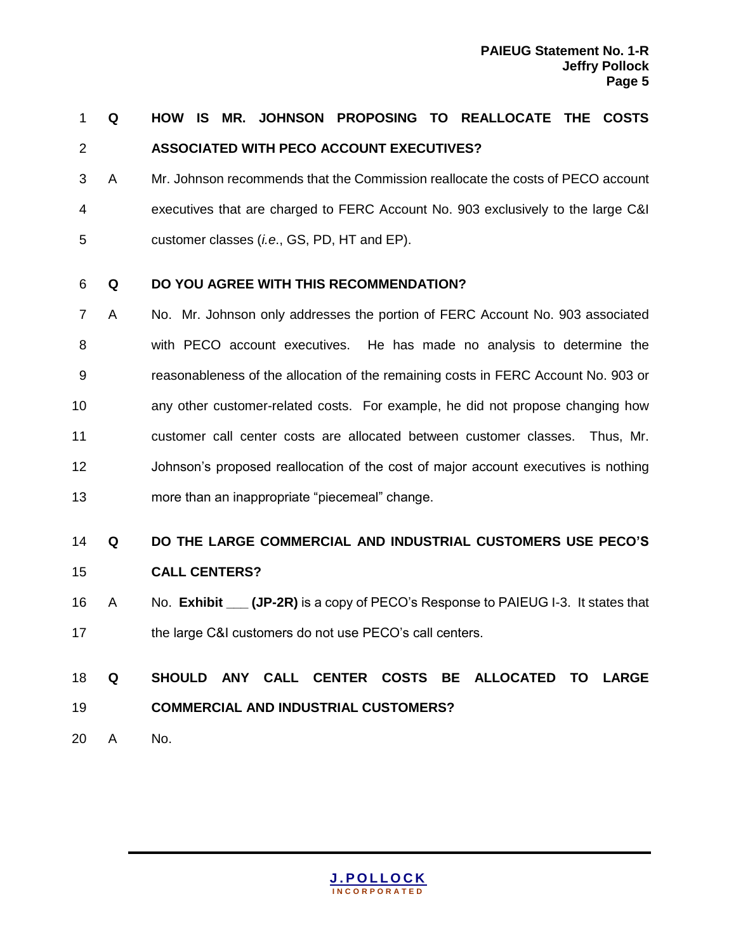# **Q HOW IS MR. JOHNSON PROPOSING TO REALLOCATE THE COSTS ASSOCIATED WITH PECO ACCOUNT EXECUTIVES?**

 A Mr. Johnson recommends that the Commission reallocate the costs of PECO account executives that are charged to FERC Account No. 903 exclusively to the large C&I customer classes (*i.e*., GS, PD, HT and EP).

#### **Q DO YOU AGREE WITH THIS RECOMMENDATION?**

 A No. Mr. Johnson only addresses the portion of FERC Account No. 903 associated with PECO account executives. He has made no analysis to determine the reasonableness of the allocation of the remaining costs in FERC Account No. 903 or any other customer-related costs. For example, he did not propose changing how customer call center costs are allocated between customer classes. Thus, Mr. Johnson's proposed reallocation of the cost of major account executives is nothing more than an inappropriate "piecemeal" change.

### **Q DO THE LARGE COMMERCIAL AND INDUSTRIAL CUSTOMERS USE PECO'S**

- **CALL CENTERS?**
- A No. **Exhibit \_\_\_ (JP-2R)** is a copy of PECO's Response to PAIEUG I-3. It states that the large C&I customers do not use PECO's call centers.

# **Q SHOULD ANY CALL CENTER COSTS BE ALLOCATED TO LARGE COMMERCIAL AND INDUSTRIAL CUSTOMERS?**

A No.

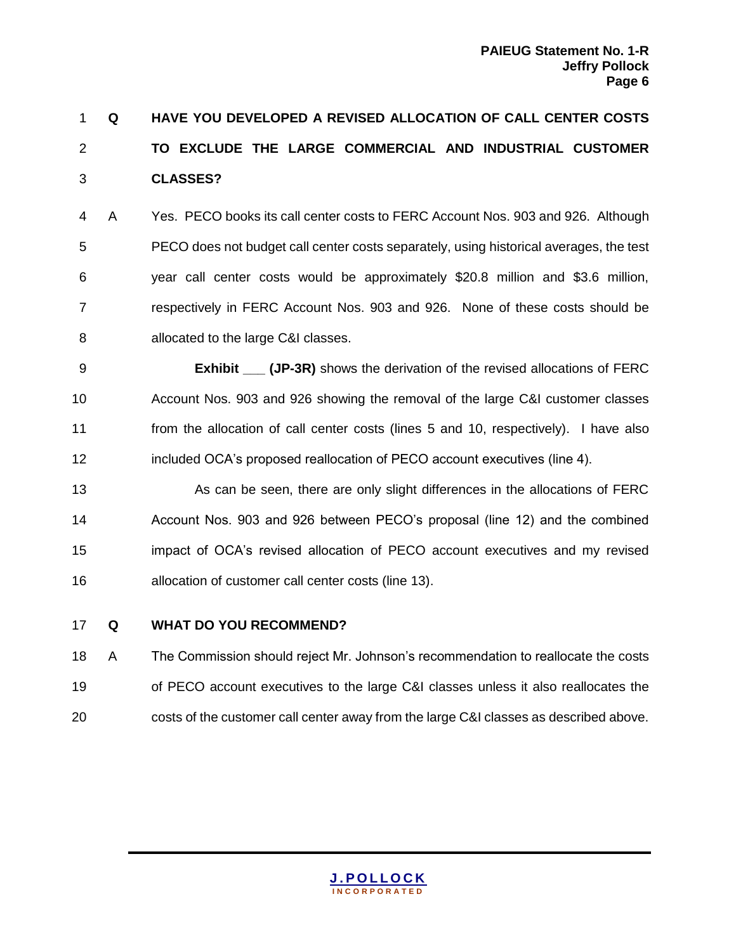# **Q HAVE YOU DEVELOPED A REVISED ALLOCATION OF CALL CENTER COSTS TO EXCLUDE THE LARGE COMMERCIAL AND INDUSTRIAL CUSTOMER CLASSES?**

 A Yes. PECO books its call center costs to FERC Account Nos. 903 and 926. Although PECO does not budget call center costs separately, using historical averages, the test year call center costs would be approximately \$20.8 million and \$3.6 million, respectively in FERC Account Nos. 903 and 926. None of these costs should be allocated to the large C&I classes.

 **Exhibit \_\_\_ (JP-3R)** shows the derivation of the revised allocations of FERC Account Nos. 903 and 926 showing the removal of the large C&I customer classes from the allocation of call center costs (lines 5 and 10, respectively). I have also included OCA's proposed reallocation of PECO account executives (line 4).

 As can be seen, there are only slight differences in the allocations of FERC Account Nos. 903 and 926 between PECO's proposal (line 12) and the combined impact of OCA's revised allocation of PECO account executives and my revised allocation of customer call center costs (line 13).

#### **Q WHAT DO YOU RECOMMEND?**

 A The Commission should reject Mr. Johnson's recommendation to reallocate the costs of PECO account executives to the large C&I classes unless it also reallocates the costs of the customer call center away from the large C&I classes as described above.

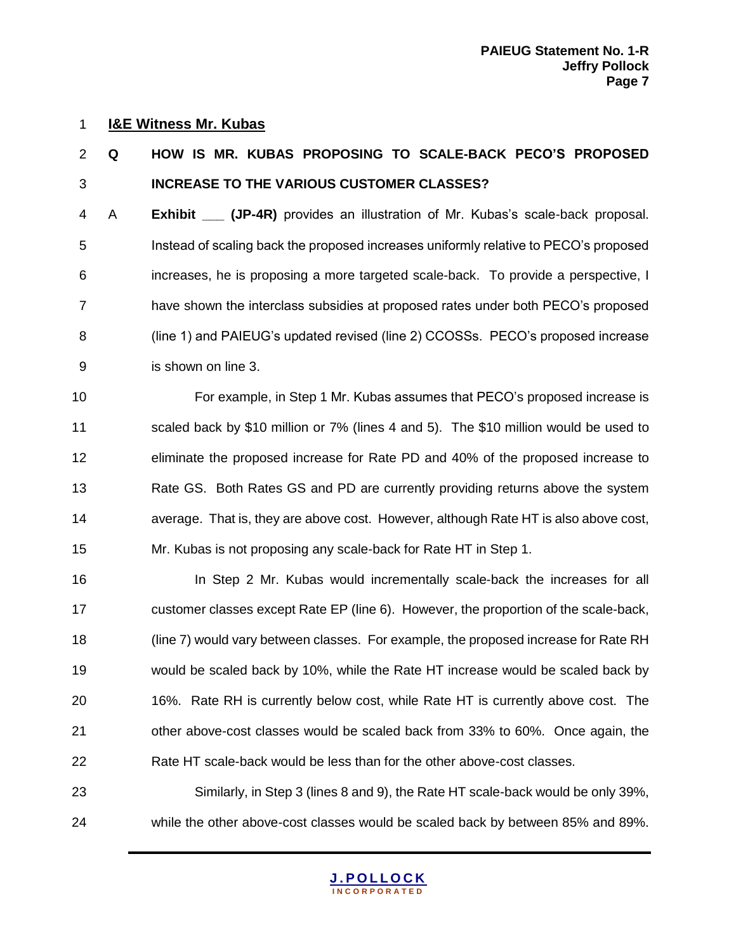#### **I&E Witness Mr. Kubas**

# **Q HOW IS MR. KUBAS PROPOSING TO SCALE-BACK PECO'S PROPOSED INCREASE TO THE VARIOUS CUSTOMER CLASSES?**

 A **Exhibit \_\_\_ (JP-4R)** provides an illustration of Mr. Kubas's scale-back proposal. Instead of scaling back the proposed increases uniformly relative to PECO's proposed increases, he is proposing a more targeted scale-back. To provide a perspective, I have shown the interclass subsidies at proposed rates under both PECO's proposed (line 1) and PAIEUG's updated revised (line 2) CCOSSs. PECO's proposed increase is shown on line 3.

 For example, in Step 1 Mr. Kubas assumes that PECO's proposed increase is scaled back by \$10 million or 7% (lines 4 and 5). The \$10 million would be used to eliminate the proposed increase for Rate PD and 40% of the proposed increase to 13 Rate GS. Both Rates GS and PD are currently providing returns above the system average. That is, they are above cost. However, although Rate HT is also above cost, Mr. Kubas is not proposing any scale-back for Rate HT in Step 1.

**In Step 2 Mr. Kubas would incrementally scale-back the increases for all**  customer classes except Rate EP (line 6). However, the proportion of the scale-back, (line 7) would vary between classes. For example, the proposed increase for Rate RH would be scaled back by 10%, while the Rate HT increase would be scaled back by 16%. Rate RH is currently below cost, while Rate HT is currently above cost. The other above-cost classes would be scaled back from 33% to 60%. Once again, the Rate HT scale-back would be less than for the other above-cost classes.

 Similarly, in Step 3 (lines 8 and 9), the Rate HT scale-back would be only 39%, while the other above-cost classes would be scaled back by between 85% and 89%.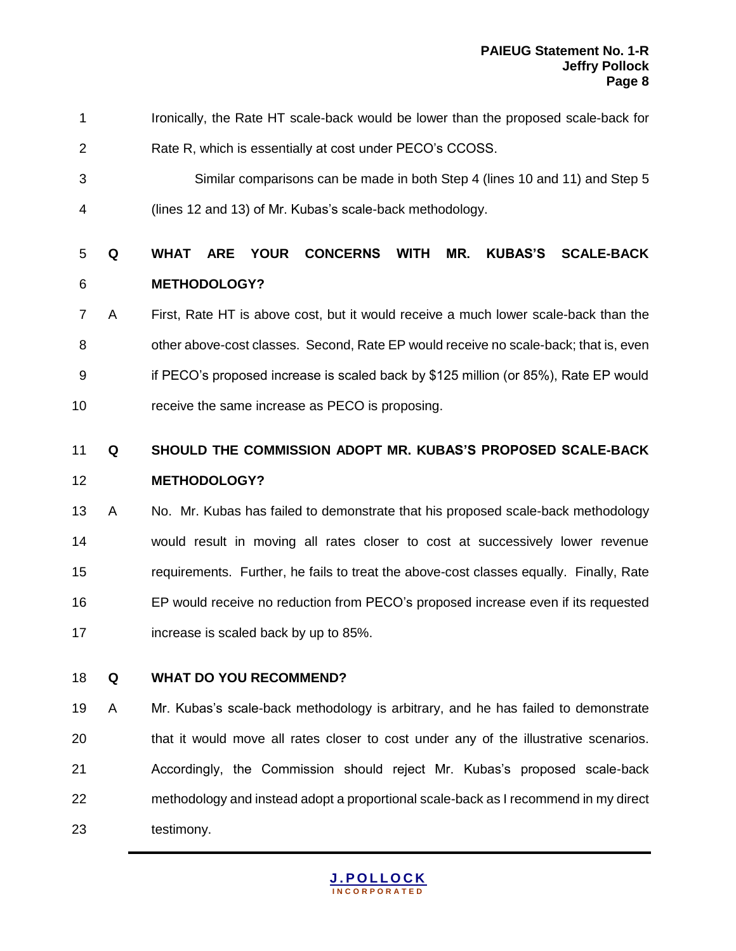- Ironically, the Rate HT scale-back would be lower than the proposed scale-back for Rate R, which is essentially at cost under PECO's CCOSS.
- Similar comparisons can be made in both Step 4 (lines 10 and 11) and Step 5 (lines 12 and 13) of Mr. Kubas's scale-back methodology.

# **Q WHAT ARE YOUR CONCERNS WITH MR. KUBAS'S SCALE-BACK METHODOLOGY?**

- A First, Rate HT is above cost, but it would receive a much lower scale-back than the other above-cost classes. Second, Rate EP would receive no scale-back; that is, even if PECO's proposed increase is scaled back by \$125 million (or 85%), Rate EP would receive the same increase as PECO is proposing.
- **Q SHOULD THE COMMISSION ADOPT MR. KUBAS'S PROPOSED SCALE-BACK**

#### **METHODOLOGY?**

- A No. Mr. Kubas has failed to demonstrate that his proposed scale-back methodology would result in moving all rates closer to cost at successively lower revenue requirements. Further, he fails to treat the above-cost classes equally. Finally, Rate EP would receive no reduction from PECO's proposed increase even if its requested increase is scaled back by up to 85%.
- **Q WHAT DO YOU RECOMMEND?**
- A Mr. Kubas's scale-back methodology is arbitrary, and he has failed to demonstrate that it would move all rates closer to cost under any of the illustrative scenarios. Accordingly, the Commission should reject Mr. Kubas's proposed scale-back methodology and instead adopt a proportional scale-back as I recommend in my direct testimony.

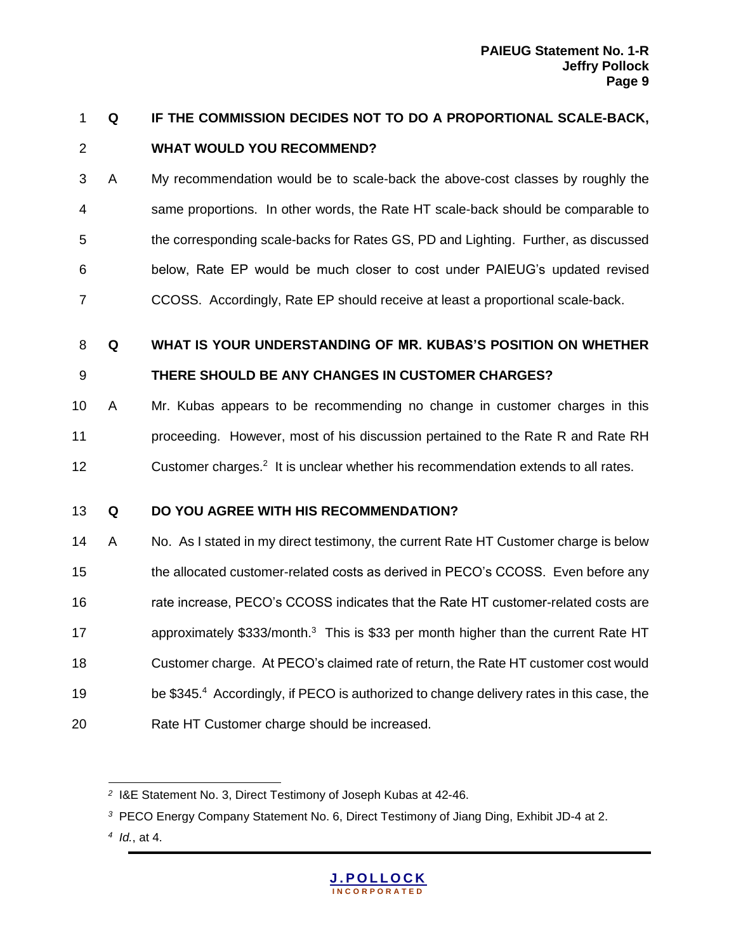# **Q IF THE COMMISSION DECIDES NOT TO DO A PROPORTIONAL SCALE-BACK, WHAT WOULD YOU RECOMMEND?**

- A My recommendation would be to scale-back the above-cost classes by roughly the same proportions. In other words, the Rate HT scale-back should be comparable to the corresponding scale-backs for Rates GS, PD and Lighting. Further, as discussed below, Rate EP would be much closer to cost under PAIEUG's updated revised CCOSS. Accordingly, Rate EP should receive at least a proportional scale-back.
- **Q WHAT IS YOUR UNDERSTANDING OF MR. KUBAS'S POSITION ON WHETHER**

### **THERE SHOULD BE ANY CHANGES IN CUSTOMER CHARGES?**

 A Mr. Kubas appears to be recommending no change in customer charges in this proceeding. However, most of his discussion pertained to the Rate R and Rate RH 12 Customer charges.<sup>2</sup> It is unclear whether his recommendation extends to all rates.

### **Q DO YOU AGREE WITH HIS RECOMMENDATION?**

14 A No. As I stated in my direct testimony, the current Rate HT Customer charge is below the allocated customer-related costs as derived in PECO's CCOSS. Even before any rate increase, PECO's CCOSS indicates that the Rate HT customer-related costs are 17 approximately  $$333/m$  onth.<sup>3</sup> This is \$33 per month higher than the current Rate HT Customer charge. At PECO's claimed rate of return, the Rate HT customer cost would 19 be \$345.4 Accordingly, if PECO is authorized to change delivery rates in this case, the Rate HT Customer charge should be increased.



 $\overline{a}$ <sup>2</sup> I&E Statement No. 3, Direct Testimony of Joseph Kubas at 42-46.

PECO Energy Company Statement No. 6, Direct Testimony of Jiang Ding, Exhibit JD-4 at 2.

 *Id.*, at 4.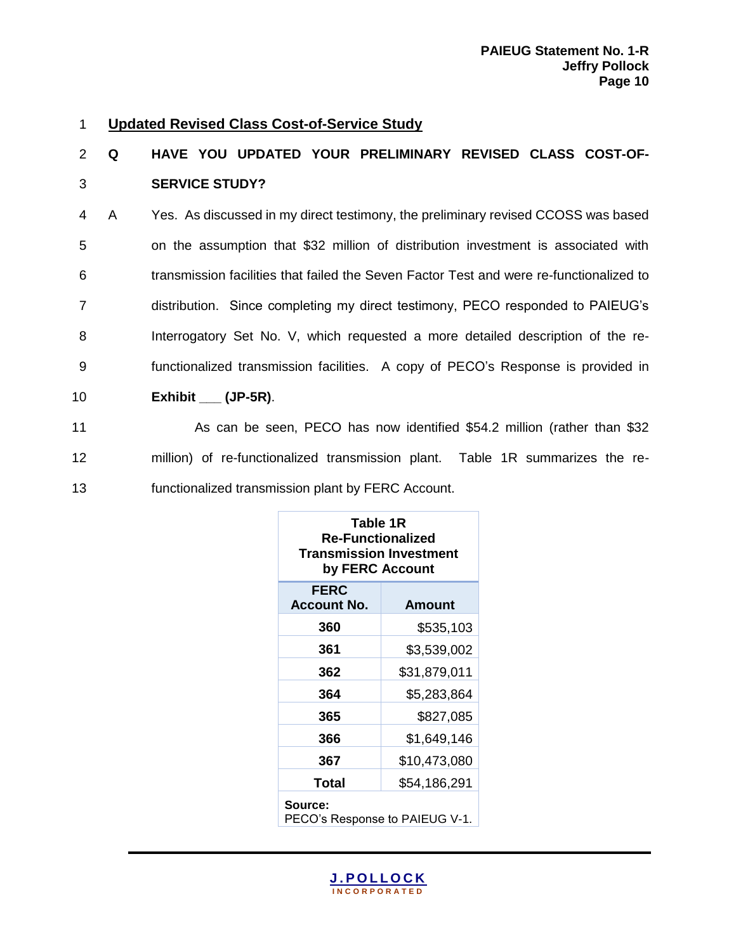#### 1 **Updated Revised Class Cost-of-Service Study**

# 2 **Q HAVE YOU UPDATED YOUR PRELIMINARY REVISED CLASS COST-OF-**3 **SERVICE STUDY?**

 A Yes. As discussed in my direct testimony, the preliminary revised CCOSS was based on the assumption that \$32 million of distribution investment is associated with transmission facilities that failed the Seven Factor Test and were re-functionalized to distribution. Since completing my direct testimony, PECO responded to PAIEUG's Interrogatory Set No. V, which requested a more detailed description of the re- functionalized transmission facilities. A copy of PECO's Response is provided in **Exhibit \_\_\_ (JP-5R)**.

11 As can be seen, PECO has now identified \$54.2 million (rather than \$32 12 million) of re-functionalized transmission plant. Table 1R summarizes the re-13 functionalized transmission plant by FERC Account.

| Table 1R<br><b>Re-Functionalized</b><br><b>Transmission Investment</b><br>by FERC Account |              |  |  |  |  |  |  |
|-------------------------------------------------------------------------------------------|--------------|--|--|--|--|--|--|
| <b>FERC</b><br><b>Account No.</b><br><b>Amount</b>                                        |              |  |  |  |  |  |  |
| 360                                                                                       | \$535,103    |  |  |  |  |  |  |
| 361                                                                                       | \$3,539,002  |  |  |  |  |  |  |
| 362                                                                                       | \$31,879,011 |  |  |  |  |  |  |
| 364                                                                                       | \$5,283,864  |  |  |  |  |  |  |
| 365                                                                                       | \$827,085    |  |  |  |  |  |  |
| 366                                                                                       | \$1,649,146  |  |  |  |  |  |  |
| 367                                                                                       | \$10,473,080 |  |  |  |  |  |  |
| <b>Total</b><br>\$54,186,291                                                              |              |  |  |  |  |  |  |
| Source:<br>PECO's Response to PAIEUG V-1.                                                 |              |  |  |  |  |  |  |

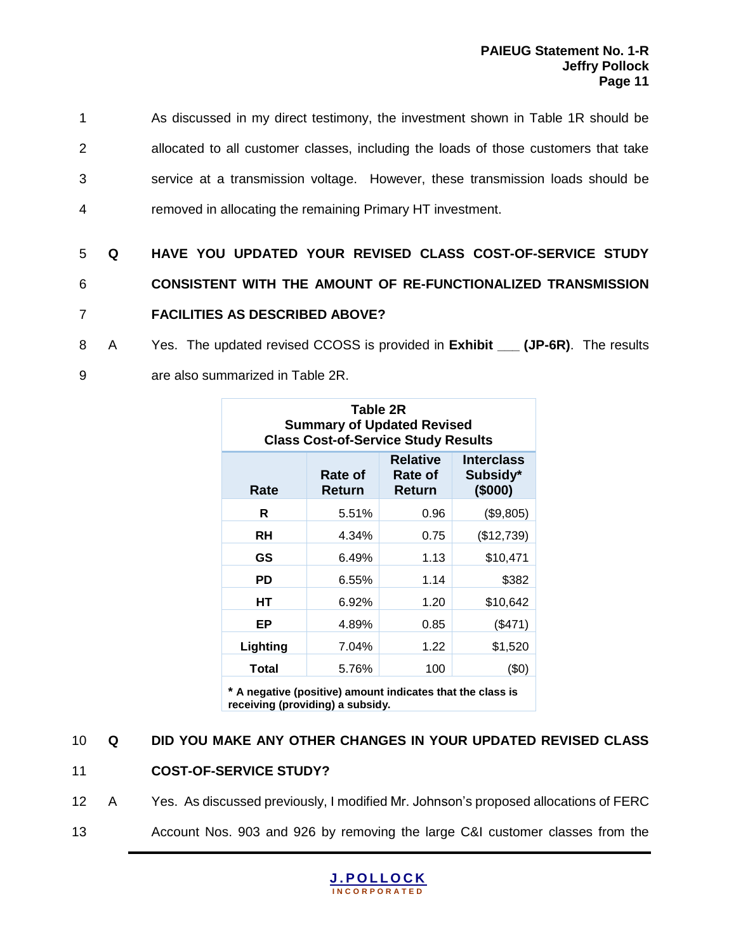As discussed in my direct testimony, the investment shown in Table 1R should be allocated to all customer classes, including the loads of those customers that take service at a transmission voltage. However, these transmission loads should be removed in allocating the remaining Primary HT investment.

# 5 **Q HAVE YOU UPDATED YOUR REVISED CLASS COST-OF-SERVICE STUDY**  6 **CONSISTENT WITH THE AMOUNT OF RE-FUNCTIONALIZED TRANSMISSION**  7 **FACILITIES AS DESCRIBED ABOVE?**

- 8 A Yes. The updated revised CCOSS is provided in **Exhibit (JP-6R)**. The results
- 9 are also summarized in Table 2R.

| Table 2R<br><b>Summary of Updated Revised</b><br><b>Class Cost-of-Service Study Results</b>                   |       |      |            |  |  |  |  |  |  |  |
|---------------------------------------------------------------------------------------------------------------|-------|------|------------|--|--|--|--|--|--|--|
| <b>Relative</b><br><b>Interclass</b><br>Subsidy*<br>Rate of<br>Rate of<br>(\$000)<br>Rate<br>Return<br>Return |       |      |            |  |  |  |  |  |  |  |
| R                                                                                                             | 5.51% | 0.96 | (\$9,805)  |  |  |  |  |  |  |  |
| RH                                                                                                            | 4.34% | 0.75 | (\$12,739) |  |  |  |  |  |  |  |
| GS                                                                                                            | 6.49% | 1.13 | \$10,471   |  |  |  |  |  |  |  |
| PD                                                                                                            | 6.55% | 1.14 | \$382      |  |  |  |  |  |  |  |
| HТ                                                                                                            | 6.92% | 1.20 | \$10,642   |  |  |  |  |  |  |  |
| ЕP                                                                                                            | 4.89% | 0.85 | (\$471)    |  |  |  |  |  |  |  |
| Lighting                                                                                                      | 7.04% | 1.22 | \$1,520    |  |  |  |  |  |  |  |
| Total                                                                                                         | 5.76% | 100  | (\$0)      |  |  |  |  |  |  |  |

**\* A negative (positive) amount indicates that the class is receiving (providing) a subsidy.** 

### 10 **Q DID YOU MAKE ANY OTHER CHANGES IN YOUR UPDATED REVISED CLASS**

#### 11 **COST-OF-SERVICE STUDY?**

- 12 A Yes. As discussed previously, I modified Mr. Johnson's proposed allocations of FERC
- 13 Account Nos. 903 and 926 by removing the large C&I customer classes from the

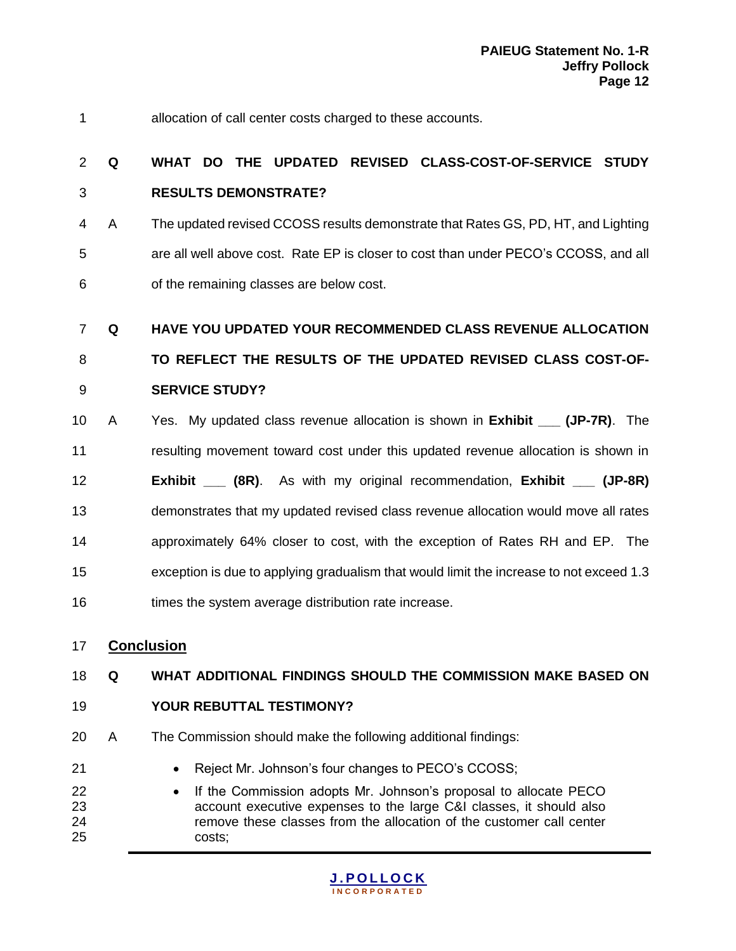allocation of call center costs charged to these accounts.

# **Q WHAT DO THE UPDATED REVISED CLASS-COST-OF-SERVICE STUDY RESULTS DEMONSTRATE?**

 A The updated revised CCOSS results demonstrate that Rates GS, PD, HT, and Lighting are all well above cost. Rate EP is closer to cost than under PECO's CCOSS, and all of the remaining classes are below cost.

**Q HAVE YOU UPDATED YOUR RECOMMENDED CLASS REVENUE ALLOCATION** 

 **TO REFLECT THE RESULTS OF THE UPDATED REVISED CLASS COST-OF-SERVICE STUDY?**

 A Yes. My updated class revenue allocation is shown in **Exhibit \_\_\_ (JP-7R)**. The resulting movement toward cost under this updated revenue allocation is shown in **Exhibit \_\_\_ (8R)**. As with my original recommendation, **Exhibit \_\_\_ (JP-8R)** demonstrates that my updated revised class revenue allocation would move all rates approximately 64% closer to cost, with the exception of Rates RH and EP. The exception is due to applying gradualism that would limit the increase to not exceed 1.3 16 times the system average distribution rate increase.

### **Conclusion**

#### **Q WHAT ADDITIONAL FINDINGS SHOULD THE COMMISSION MAKE BASED ON**

- **YOUR REBUTTAL TESTIMONY?**
- A The Commission should make the following additional findings:
- **Brade:** Reject Mr. Johnson's four changes to PECO's CCOSS;
- **If the Commission adopts Mr. Johnson's proposal to allocate PECO**  account executive expenses to the large C&I classes, it should also remove these classes from the allocation of the customer call center costs;

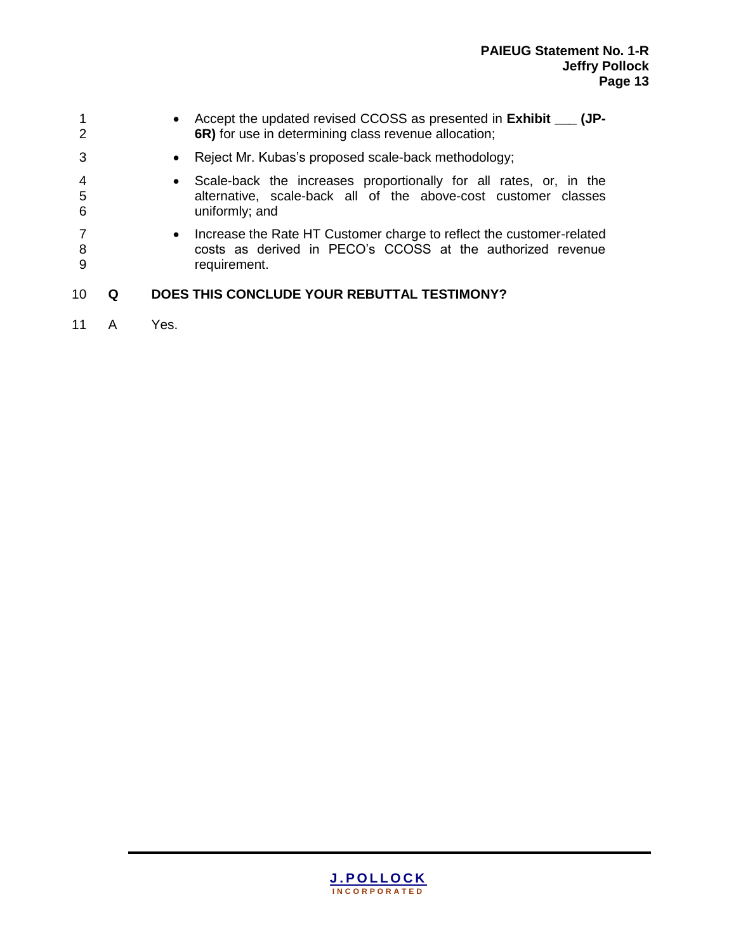|             | Accept the updated revised CCOSS as presented in Exhibit __<br>(JP-<br>$\bullet$<br>6R) for use in determining class revenue allocation;                           |
|-------------|--------------------------------------------------------------------------------------------------------------------------------------------------------------------|
| 3           | Reject Mr. Kubas's proposed scale-back methodology;<br>$\bullet$                                                                                                   |
| 4<br>5<br>6 | Scale-back the increases proportionally for all rates, or, in the<br>$\bullet$<br>alternative, scale-back all of the above-cost customer classes<br>uniformly; and |
| 8<br>9      | Increase the Rate HT Customer charge to reflect the customer-related<br>$\bullet$<br>costs as derived in PECO's CCOSS at the authorized revenue<br>requirement.    |
| 10          | DOES THIS CONCLUDE YOUR REBUTTAL TESTIMONY?                                                                                                                        |

11 A Yes.

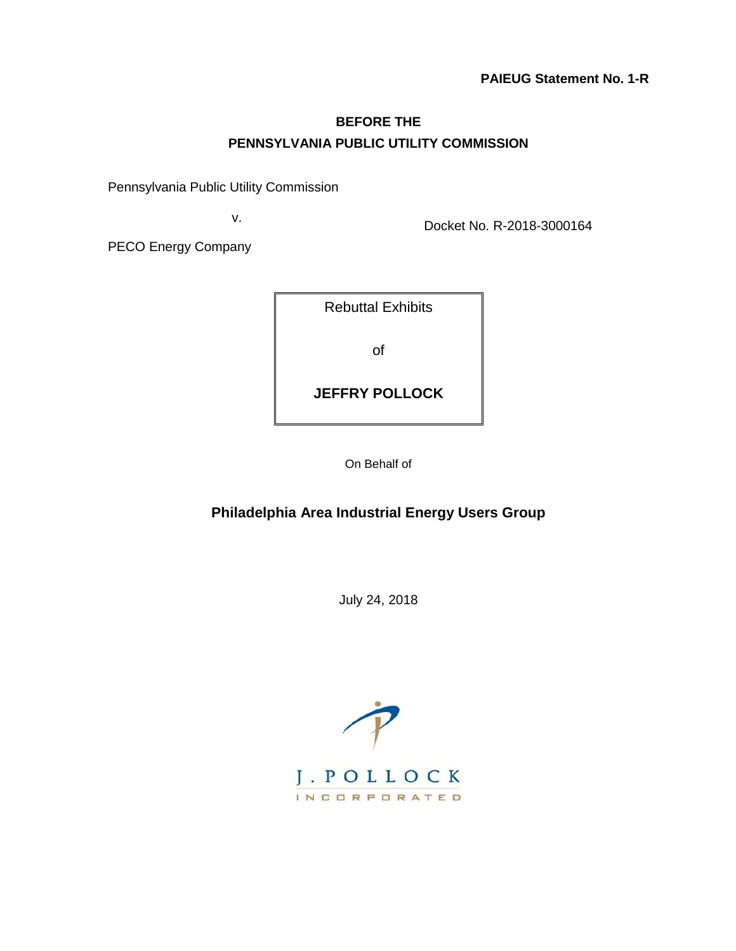### **BEFORE THE PENNSYLVANIA PUBLIC UTILITY COMMISSION**

Pennsylvania Public Utility Commission

v.

Docket No. R-2018-3000164

PECO Energy Company

| <b>Rebuttal Exhibits</b> |
|--------------------------|
| Ωf                       |
| <b>JEFFRY POLLOCK</b>    |
|                          |

On Behalf of

### **Philadelphia Area Industrial Energy Users Group**

July 24, 2018

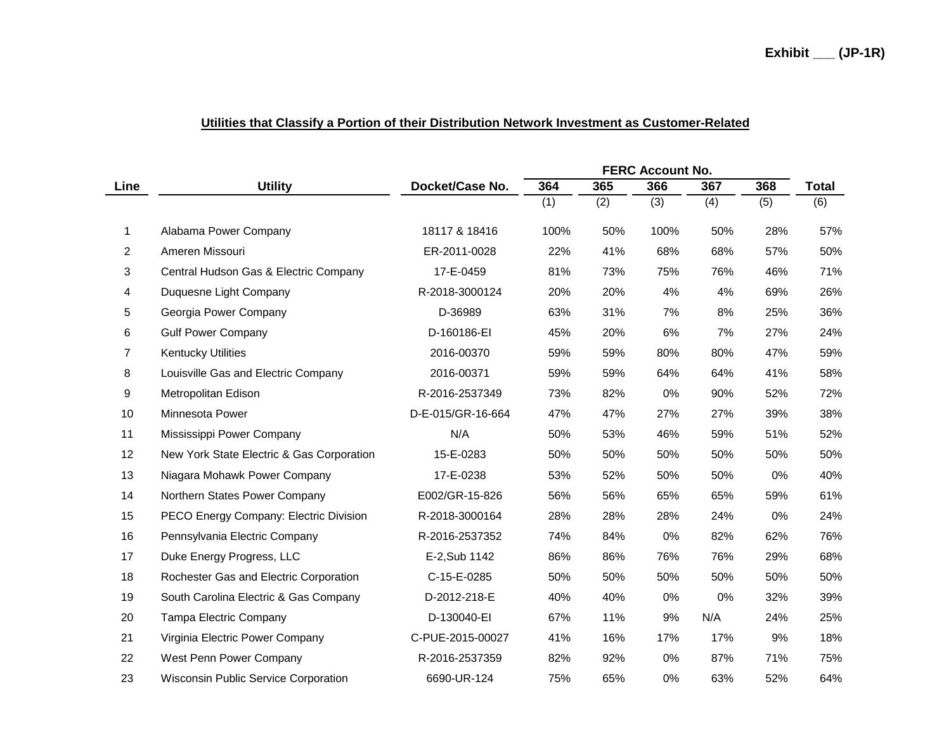| Utilities that Classify a Portion of their Distribution Network Investment as Customer-Related |  |
|------------------------------------------------------------------------------------------------|--|
|                                                                                                |  |

|      |                                             |                   | <b>FERC Account No.</b> |     |       |     |     |              |
|------|---------------------------------------------|-------------------|-------------------------|-----|-------|-----|-----|--------------|
| Line | <b>Utility</b>                              | Docket/Case No.   | 364                     | 365 | 366   | 367 | 368 | <b>Total</b> |
|      |                                             |                   | (1)                     | (2) | (3)   | (4) | (5) | (6)          |
| 1.   | Alabama Power Company                       | 18117 & 18416     | 100%                    | 50% | 100%  | 50% | 28% | 57%          |
| 2    | Ameren Missouri                             | ER-2011-0028      | 22%                     | 41% | 68%   | 68% | 57% | 50%          |
| 3    | Central Hudson Gas & Electric Company       | 17-E-0459         | 81%                     | 73% | 75%   | 76% | 46% | 71%          |
| 4    | Duquesne Light Company                      | R-2018-3000124    | 20%                     | 20% | 4%    | 4%  | 69% | 26%          |
| 5    | Georgia Power Company                       | D-36989           | 63%                     | 31% | 7%    | 8%  | 25% | 36%          |
| 6    | <b>Gulf Power Company</b>                   | D-160186-EI       | 45%                     | 20% | 6%    | 7%  | 27% | 24%          |
| 7    | <b>Kentucky Utilities</b>                   | 2016-00370        | 59%                     | 59% | 80%   | 80% | 47% | 59%          |
| 8    | Louisville Gas and Electric Company         | 2016-00371        | 59%                     | 59% | 64%   | 64% | 41% | 58%          |
| 9    | Metropolitan Edison                         | R-2016-2537349    | 73%                     | 82% | 0%    | 90% | 52% | 72%          |
| 10   | Minnesota Power                             | D-E-015/GR-16-664 | 47%                     | 47% | 27%   | 27% | 39% | 38%          |
| 11   | Mississippi Power Company                   | N/A               | 50%                     | 53% | 46%   | 59% | 51% | 52%          |
| 12   | New York State Electric & Gas Corporation   | 15-E-0283         | 50%                     | 50% | 50%   | 50% | 50% | 50%          |
| 13   | Niagara Mohawk Power Company                | 17-E-0238         | 53%                     | 52% | 50%   | 50% | 0%  | 40%          |
| 14   | Northern States Power Company               | E002/GR-15-826    | 56%                     | 56% | 65%   | 65% | 59% | 61%          |
| 15   | PECO Energy Company: Electric Division      | R-2018-3000164    | 28%                     | 28% | 28%   | 24% | 0%  | 24%          |
| 16   | Pennsylvania Electric Company               | R-2016-2537352    | 74%                     | 84% | 0%    | 82% | 62% | 76%          |
| 17   | Duke Energy Progress, LLC                   | E-2, Sub 1142     | 86%                     | 86% | 76%   | 76% | 29% | 68%          |
| 18   | Rochester Gas and Electric Corporation      | C-15-E-0285       | 50%                     | 50% | 50%   | 50% | 50% | 50%          |
| 19   | South Carolina Electric & Gas Company       | D-2012-218-E      | 40%                     | 40% | 0%    | 0%  | 32% | 39%          |
| 20   | Tampa Electric Company                      | D-130040-EI       | 67%                     | 11% | 9%    | N/A | 24% | 25%          |
| 21   | Virginia Electric Power Company             | C-PUE-2015-00027  | 41%                     | 16% | 17%   | 17% | 9%  | 18%          |
| 22   | West Penn Power Company                     | R-2016-2537359    | 82%                     | 92% | $0\%$ | 87% | 71% | 75%          |
| 23   | <b>Wisconsin Public Service Corporation</b> | 6690-UR-124       | 75%                     | 65% | 0%    | 63% | 52% | 64%          |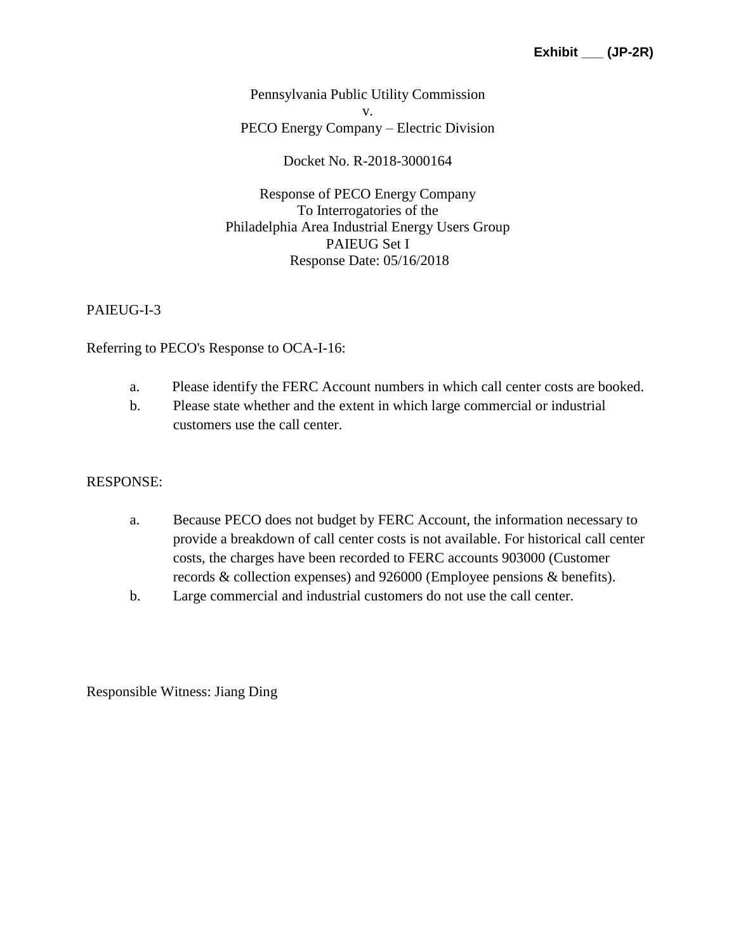Pennsylvania Public Utility Commission v. PECO Energy Company – Electric Division

Docket No. R-2018-3000164

Response of PECO Energy Company To Interrogatories of the Philadelphia Area Industrial Energy Users Group PAIEUG Set I Response Date: 05/16/2018

### PAIEUG-I-3

Referring to PECO's Response to OCA-I-16:

- a. Please identify the FERC Account numbers in which call center costs are booked.
- b. Please state whether and the extent in which large commercial or industrial customers use the call center.

#### RESPONSE:

- a. Because PECO does not budget by FERC Account, the information necessary to provide a breakdown of call center costs is not available. For historical call center costs, the charges have been recorded to FERC accounts 903000 (Customer records & collection expenses) and 926000 (Employee pensions & benefits).
- b. Large commercial and industrial customers do not use the call center.

Responsible Witness: Jiang Ding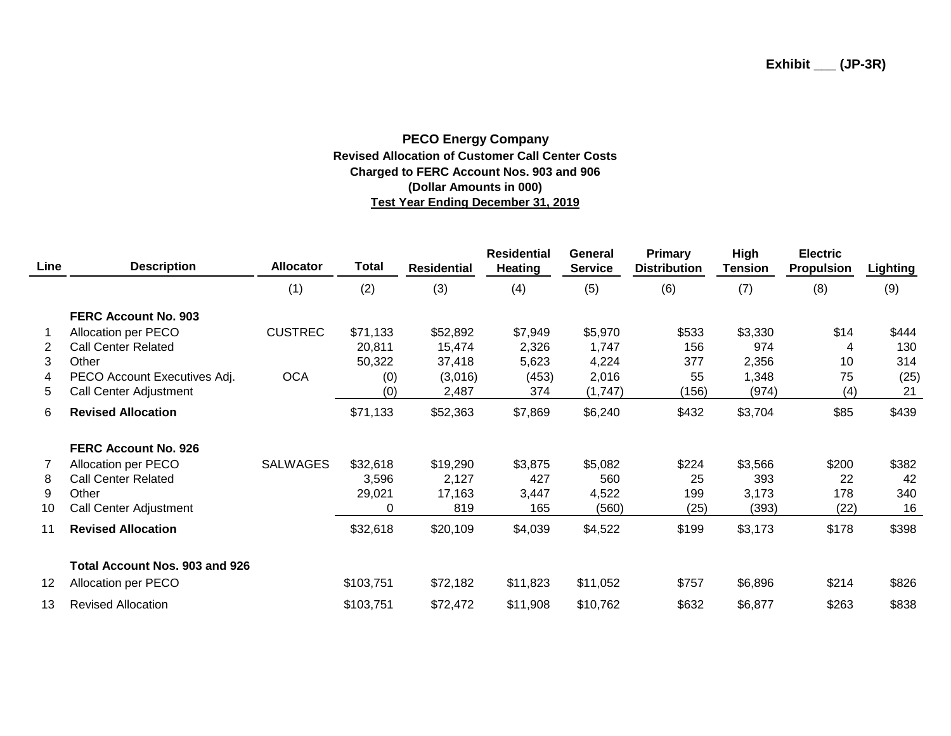#### **PECO Energy Company Revised Allocation of Customer Call Center Costs Charged to FERC Account Nos. 903 and 906 (Dollar Amounts in 000) Test Year Ending December 31, 2019**

| <b>Line</b>    | <b>Description</b>             | <b>Allocator</b> | <b>Total</b> | <b>Residential</b> | <b>Residential</b><br><b>Heating</b> | General<br><b>Service</b> | Primary<br><b>Distribution</b> | High<br><b>Tension</b> | <b>Electric</b><br><b>Propulsion</b> | <b>Lighting</b> |
|----------------|--------------------------------|------------------|--------------|--------------------|--------------------------------------|---------------------------|--------------------------------|------------------------|--------------------------------------|-----------------|
|                |                                | (1)              | (2)          | (3)                | (4)                                  | (5)                       | (6)                            | (7)                    | (8)                                  | (9)             |
|                | <b>FERC Account No. 903</b>    |                  |              |                    |                                      |                           |                                |                        |                                      |                 |
|                | Allocation per PECO            | <b>CUSTREC</b>   | \$71,133     | \$52,892           | \$7,949                              | \$5,970                   | \$533                          | \$3,330                | \$14                                 | \$444           |
| $\overline{2}$ | <b>Call Center Related</b>     |                  | 20,811       | 15,474             | 2,326                                | 1,747                     | 156                            | 974                    | 4                                    | 130             |
| 3              | Other                          |                  | 50,322       | 37,418             | 5,623                                | 4,224                     | 377                            | 2,356                  | 10                                   | 314             |
| 4              | PECO Account Executives Adj.   | <b>OCA</b>       | (0)          | (3,016)            | (453)                                | 2,016                     | 55                             | 1,348                  | 75                                   | (25)            |
| 5              | Call Center Adjustment         |                  | (0)          | 2,487              | 374                                  | (1,747)                   | (156)                          | (974)                  | (4)                                  | 21              |
| 6              | <b>Revised Allocation</b>      |                  | \$71,133     | \$52,363           | \$7,869                              | \$6,240                   | \$432                          | \$3,704                | \$85                                 | \$439           |
|                | <b>FERC Account No. 926</b>    |                  |              |                    |                                      |                           |                                |                        |                                      |                 |
| 7              | Allocation per PECO            | <b>SALWAGES</b>  | \$32,618     | \$19,290           | \$3,875                              | \$5,082                   | \$224                          | \$3,566                | \$200                                | \$382           |
| 8              | <b>Call Center Related</b>     |                  | 3,596        | 2,127              | 427                                  | 560                       | 25                             | 393                    | 22                                   | 42              |
| 9              | Other                          |                  | 29,021       | 17,163             | 3,447                                | 4,522                     | 199                            | 3,173                  | 178                                  | 340             |
| 10             | Call Center Adjustment         |                  | 0            | 819                | 165                                  | (560)                     | (25)                           | (393)                  | (22)                                 | 16              |
| 11             | <b>Revised Allocation</b>      |                  | \$32,618     | \$20,109           | \$4,039                              | \$4,522                   | \$199                          | \$3,173                | \$178                                | \$398           |
|                | Total Account Nos. 903 and 926 |                  |              |                    |                                      |                           |                                |                        |                                      |                 |
| 12             | Allocation per PECO            |                  | \$103,751    | \$72,182           | \$11,823                             | \$11,052                  | \$757                          | \$6,896                | \$214                                | \$826           |
| 13             | <b>Revised Allocation</b>      |                  | \$103,751    | \$72,472           | \$11,908                             | \$10,762                  | \$632                          | \$6,877                | \$263                                | \$838           |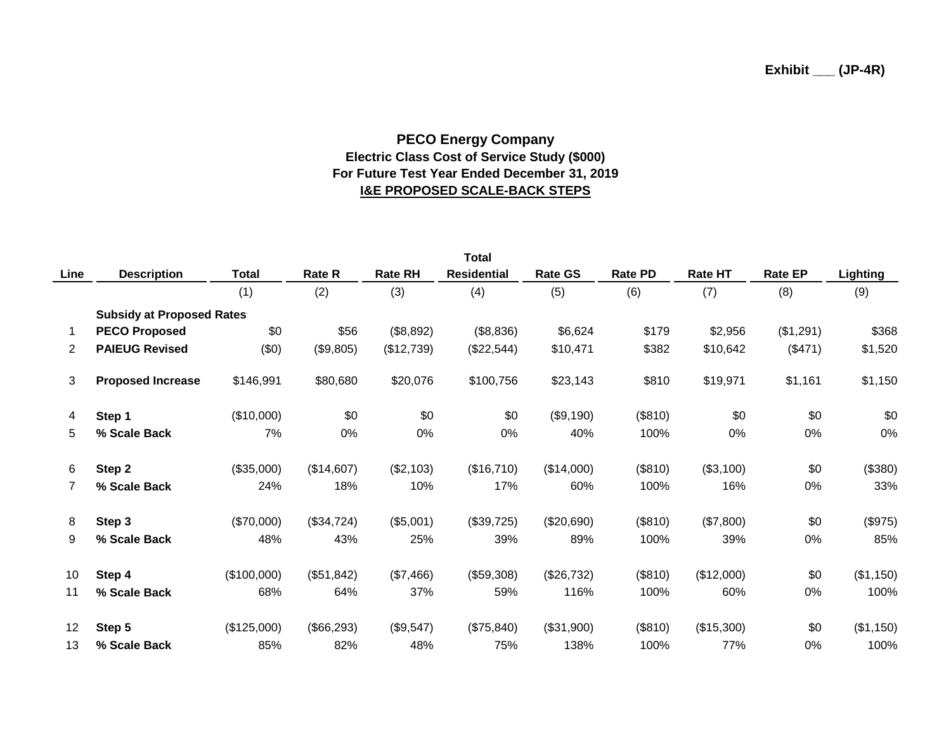### **PECO Energy Company Electric Class Cost of Service Study (\$000) For Future Test Year Ended December 31, 2019 I&E PROPOSED SCALE-BACK STEPS**

| <b>Total</b> |                                  |              |               |                |                    |                |                |                |                |           |
|--------------|----------------------------------|--------------|---------------|----------------|--------------------|----------------|----------------|----------------|----------------|-----------|
| Line         | <b>Description</b>               | <b>Total</b> | <b>Rate R</b> | <b>Rate RH</b> | <b>Residential</b> | <b>Rate GS</b> | <b>Rate PD</b> | <b>Rate HT</b> | <b>Rate EP</b> | Lighting  |
|              |                                  | (1)          | (2)           | (3)            | (4)                | (5)            | (6)            | (7)            | (8)            | (9)       |
|              | <b>Subsidy at Proposed Rates</b> |              |               |                |                    |                |                |                |                |           |
|              | <b>PECO Proposed</b>             | \$0          | \$56          | (\$8,892)      | (\$8,836)          | \$6,624        | \$179          | \$2,956        | (\$1,291)      | \$368     |
| 2            | <b>PAIEUG Revised</b>            | (\$0)        | (\$9,805)     | (\$12,739)     | (\$22,544)         | \$10,471       | \$382          | \$10,642       | (\$471)        | \$1,520   |
| 3            | <b>Proposed Increase</b>         | \$146,991    | \$80,680      | \$20,076       | \$100,756          | \$23,143       | \$810          | \$19,971       | \$1,161        | \$1,150   |
| 4            | Step 1                           | (\$10,000)   | \$0           | \$0            | \$0                | (\$9,190)      | (\$810)        | \$0            | \$0            | \$0       |
| 5            | % Scale Back                     | 7%           | 0%            | 0%             | 0%                 | 40%            | 100%           | 0%             | 0%             | 0%        |
| 6            | Step 2                           | (\$35,000)   | (\$14,607)    | (\$2,103)      | (\$16,710)         | (\$14,000)     | (\$810)        | (\$3,100)      | \$0            | (\$380)   |
| 7            | % Scale Back                     | 24%          | 18%           | 10%            | 17%                | 60%            | 100%           | 16%            | 0%             | 33%       |
| 8            | Step 3                           | (\$70,000)   | (\$34,724)    | (\$5,001)      | (\$39,725)         | (\$20,690)     | (\$810)        | (\$7,800)      | \$0            | (\$975)   |
| 9            | % Scale Back                     | 48%          | 43%           | 25%            | 39%                | 89%            | 100%           | 39%            | 0%             | 85%       |
| 10           | Step 4                           | (\$100,000)  | (\$51,842)    | (\$7,466)      | (\$59,308)         | (\$26,732)     | (\$810)        | (\$12,000)     | \$0            | (\$1,150) |
| 11           | % Scale Back                     | 68%          | 64%           | 37%            | 59%                | 116%           | 100%           | 60%            | 0%             | 100%      |
| 12           | Step 5                           | (\$125,000)  | (\$66,293)    | (\$9,547)      | (\$75,840)         | (\$31,900)     | (\$810)        | (\$15,300)     | \$0            | (\$1,150) |
| 13           | % Scale Back                     | 85%          | 82%           | 48%            | 75%                | 138%           | 100%           | 77%            | 0%             | 100%      |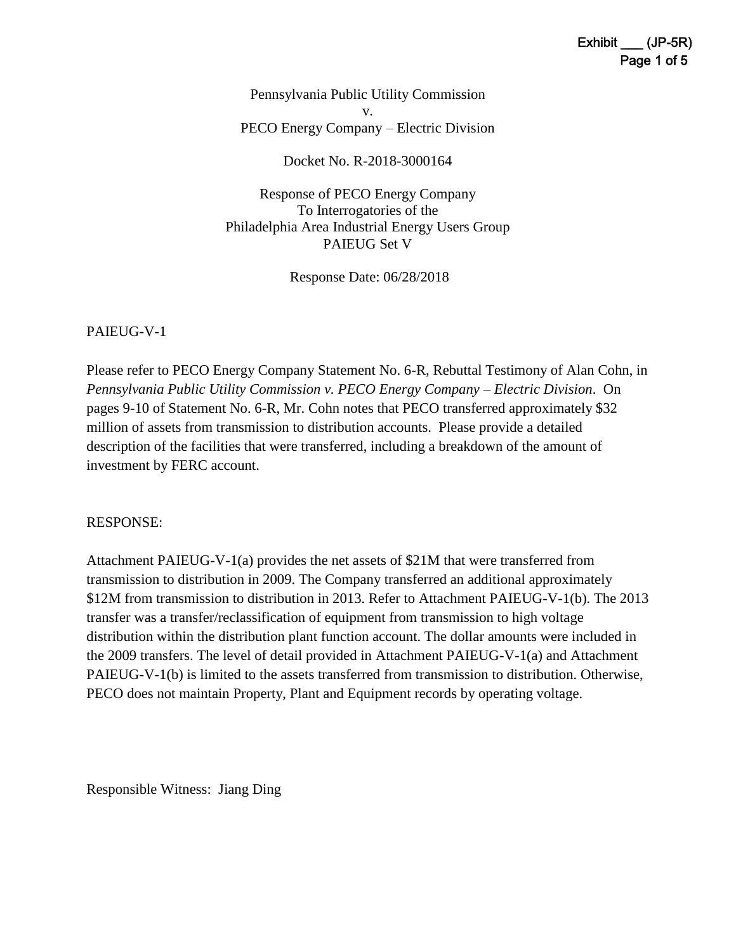Pennsylvania Public Utility Commission v. PECO Energy Company – Electric Division

Docket No. R-2018-3000164

Response of PECO Energy Company To Interrogatories of the Philadelphia Area Industrial Energy Users Group PAIEUG Set V

Response Date: 06/28/2018

#### PAIEUG-V-1

Please refer to PECO Energy Company Statement No. 6-R, Rebuttal Testimony of Alan Cohn, in *Pennsylvania Public Utility Commission v. PECO Energy Company – Electric Division*. On pages 9-10 of Statement No. 6-R, Mr. Cohn notes that PECO transferred approximately \$32 million of assets from transmission to distribution accounts. Please provide a detailed description of the facilities that were transferred, including a breakdown of the amount of investment by FERC account.

#### RESPONSE:

Attachment PAIEUG-V-1(a) provides the net assets of \$21M that were transferred from transmission to distribution in 2009. The Company transferred an additional approximately \$12M from transmission to distribution in 2013. Refer to Attachment PAIEUG-V-1(b). The 2013 transfer was a transfer/reclassification of equipment from transmission to high voltage distribution within the distribution plant function account. The dollar amounts were included in the 2009 transfers. The level of detail provided in Attachment PAIEUG-V-1(a) and Attachment PAIEUG-V-1(b) is limited to the assets transferred from transmission to distribution. Otherwise, PECO does not maintain Property, Plant and Equipment records by operating voltage.

Responsible Witness: Jiang Ding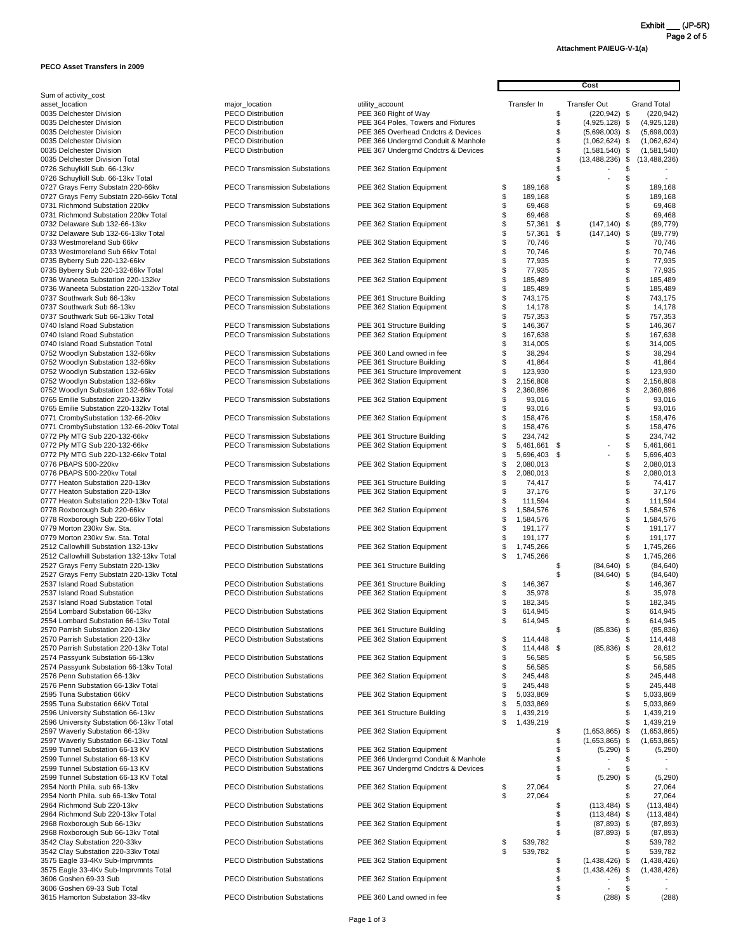**Attachment PAIEUG-V-1(a)**

#### **PECO Asset Transfers in 2009**

| Sum of activity_cost                      |                          |
|-------------------------------------------|--------------------------|
| asset_location                            | major_location           |
| 0035 Delchester Division                  | <b>PECO Distributio</b>  |
| 0035 Delchester Division                  | <b>PECO Distribution</b> |
| 0035 Delchester Division                  | <b>PECO Distribution</b> |
| 0035 Delchester Division                  | <b>PECO Distributio</b>  |
| 0035 Delchester Division                  | <b>PECO Distributio</b>  |
| 0035 Delchester Division Total            |                          |
| 0726 Schuylkill Sub. 66-13kv              | <b>PECO Transmiss</b>    |
| 0726 Schuylkill Sub. 66-13kv Total        |                          |
| 0727 Grays Ferry Substatn 220-66kv        | <b>PECO Transmiss</b>    |
| 0727 Grays Ferry Substatn 220-66kv Total  |                          |
| 0731 Richmond Substation 220kv            | <b>PECO Transmiss</b>    |
| 0731 Richmond Substation 220ky Total      |                          |
| 0732 Delaware Sub 132-66-13kv             | <b>PECO Transmiss</b>    |
|                                           |                          |
| 0732 Delaware Sub 132-66-13kv Total       |                          |
| 0733 Westmoreland Sub 66kv                | <b>PECO Transmiss</b>    |
| 0733 Westmoreland Sub 66kv Total          |                          |
| 0735 Byberry Sub 220-132-66kv             | <b>PECO Transmiss</b>    |
| 0735 Byberry Sub 220-132-66kv Total       |                          |
| 0736 Waneeta Substation 220-132kv         | <b>PECO Transmiss</b>    |
| 0736 Waneeta Substation 220-132kv Total   |                          |
| 0737 Southwark Sub 66-13kv                | <b>PECO Transmiss</b>    |
| 0737 Southwark Sub 66-13kv                | <b>PECO Transmiss</b>    |
| 0737 Southwark Sub 66-13kv Total          |                          |
| 0740 Island Road Substation               | <b>PECO Transmiss</b>    |
| 0740 Island Road Substation               | <b>PECO Transmiss</b>    |
| 0740 Island Road Substation Total         |                          |
| 0752 Woodlyn Substation 132-66kv          | <b>PECO Transmiss</b>    |
| 0752 Woodlyn Substation 132-66kv          | <b>PECO Transmiss</b>    |
| 0752 Woodlyn Substation 132-66kv          | <b>PECO Transmiss</b>    |
| 0752 Woodlyn Substation 132-66kv          | PECO Transmiss           |
| 0752 Woodlyn Substation 132-66kv Total    |                          |
| 0765 Emilie Substation 220-132kv          | <b>PECO Transmiss</b>    |
| 0765 Emilie Substation 220-132kv Total    |                          |
| 0771 CrombySubstation 132-66-20kv         | PECO Transmiss           |
| 0771 CrombySubstation 132-66-20kv Total   |                          |
| 0772 Ply MTG Sub 220-132-66kv             | <b>PECO Transmiss</b>    |
|                                           |                          |
| 0772 Ply MTG Sub 220-132-66kv             | <b>PECO Transmiss</b>    |
| 0772 Ply MTG Sub 220-132-66kv Total       |                          |
| 0776 PBAPS 500-220kv                      | <b>PECO Transmiss</b>    |
| 0776 PBAPS 500-220kv Total                |                          |
| 0777 Heaton Substation 220-13kv           | <b>PECO Transmiss</b>    |
| 0777 Heaton Substation 220-13kv           | <b>PECO Transmiss</b>    |
| 0777 Heaton Substation 220-13kv Total     |                          |
| 0778 Roxborough Sub 220-66kv              | <b>PECO Transmiss</b>    |
| 0778 Roxborough Sub 220-66kv Total        |                          |
| 0779 Morton 230kv Sw. Sta.                | <b>PECO Transmiss</b>    |
| 0779 Morton 230kv Sw. Sta. Total          |                          |
| 2512 Callowhill Substation 132-13kv       | <b>PECO Distributio</b>  |
| 2512 Callowhill Substation 132-13kv Total |                          |
| 2527 Grays Ferry Substatn 220-13kv        | <b>PECO Distribution</b> |
| 2527 Grays Ferry Substatn 220-13kv Total  |                          |
| 2537 Island Road Substation               | <b>PECO Distribution</b> |
| 2537 Island Road Substation               | <b>PECO Distributio</b>  |
| 2537 Island Road Substation Total         |                          |
| 2554 Lombard Substation 66-13kv           | <b>PECO Distributio</b>  |
| 2554 Lombard Substation 66-13kv Total     |                          |
|                                           |                          |
| 2570 Parrish Substation 220-13kv          | <b>PECO Distribution</b> |
| 2570 Parrish Substation 220-13kv          | <b>PECO Distributio</b>  |
| 2570 Parrish Substation 220-13kv Total    |                          |

| Sum of activity_cost                                                         |                                                                              |                                                         |          |                        |    |                                        |          |                                  |
|------------------------------------------------------------------------------|------------------------------------------------------------------------------|---------------------------------------------------------|----------|------------------------|----|----------------------------------------|----------|----------------------------------|
| asset_location<br>0035 Delchester Division                                   | major_location<br><b>PECO Distribution</b>                                   | utility_account<br>PEE 360 Right of Way                 |          | Transfer In            | S  | <b>Transfer Out</b><br>$(220, 942)$ \$ |          | <b>Grand Total</b><br>(220, 942) |
| 0035 Delchester Division                                                     | <b>PECO Distribution</b>                                                     | PEE 364 Poles, Towers and Fixtures                      |          |                        | \$ | $(4,925,128)$ \$                       |          | (4,925,128)                      |
| 0035 Delchester Division                                                     | <b>PECO Distribution</b>                                                     | PEE 365 Overhead Cndctrs & Devices                      |          |                        |    | $(5,698,003)$ \$                       |          | (5,698,003)                      |
| 0035 Delchester Division                                                     | <b>PECO Distribution</b>                                                     | PEE 366 Undergrnd Conduit & Manhole                     |          |                        |    | $(1,062,624)$ \$                       |          | (1,062,624)                      |
| 0035 Delchester Division                                                     | <b>PECO Distribution</b>                                                     | PEE 367 Undergrnd Cndctrs & Devices                     |          |                        |    | $(1,581,540)$ \$                       |          | (1,581,540)                      |
| 0035 Delchester Division Total<br>0726 Schuylkill Sub. 66-13kv               | <b>PECO Transmission Substations</b>                                         | PEE 362 Station Equipment                               |          |                        |    | $(13,488,236)$ \$                      |          | (13, 488, 236)                   |
| 0726 Schuylkill Sub. 66-13kv Total                                           |                                                                              |                                                         |          |                        |    |                                        |          |                                  |
| 0727 Grays Ferry Substatn 220-66kv                                           | <b>PECO Transmission Substations</b>                                         | PEE 362 Station Equipment                               | \$       | 189,168                |    |                                        |          | 189,168                          |
| 0727 Grays Ferry Substatn 220-66kv Total                                     |                                                                              |                                                         |          | 189,168                |    |                                        |          | 189,168                          |
| 0731 Richmond Substation 220kv                                               | <b>PECO Transmission Substations</b>                                         | PEE 362 Station Equipment                               |          | 69,468                 |    |                                        |          | 69,468                           |
| 0731 Richmond Substation 220kv Total                                         |                                                                              |                                                         |          | 69,468                 |    |                                        | \$       | 69,468                           |
| 0732 Delaware Sub 132-66-13kv<br>0732 Delaware Sub 132-66-13kv Total         | <b>PECO Transmission Substations</b>                                         | PEE 362 Station Equipment                               |          | 57,361 \$<br>57,361 \$ |    | $(147, 140)$ \$<br>$(147, 140)$ \$     |          | (89, 779)<br>(89, 779)           |
| 0733 Westmoreland Sub 66kv                                                   | <b>PECO Transmission Substations</b>                                         | PEE 362 Station Equipment                               |          | 70,746                 |    |                                        | \$       | 70,746                           |
| 0733 Westmoreland Sub 66kv Total                                             |                                                                              |                                                         |          | 70,746                 |    |                                        | \$       | 70,746                           |
| 0735 Byberry Sub 220-132-66kv                                                | <b>PECO Transmission Substations</b>                                         | PEE 362 Station Equipment                               |          | 77,935                 |    |                                        | \$       | 77,935                           |
| 0735 Byberry Sub 220-132-66kv Total                                          |                                                                              |                                                         |          | 77,935                 |    |                                        | \$       | 77,935                           |
| 0736 Waneeta Substation 220-132kv                                            | <b>PECO Transmission Substations</b>                                         | PEE 362 Station Equipment                               |          | 185,489                |    |                                        | \$       | 185,489                          |
| 0736 Waneeta Substation 220-132kv Total<br>0737 Southwark Sub 66-13kv        | <b>PECO Transmission Substations</b>                                         | PEE 361 Structure Building                              |          | 185,489<br>743,175     |    |                                        | \$<br>\$ | 185,489<br>743,175               |
| 0737 Southwark Sub 66-13kv                                                   | <b>PECO Transmission Substations</b>                                         | PEE 362 Station Equipment                               |          | 14,178                 |    |                                        |          | 14,178                           |
| 0737 Southwark Sub 66-13kv Total                                             |                                                                              |                                                         |          | 757,353                |    |                                        | \$       | 757,353                          |
| 0740 Island Road Substation                                                  | <b>PECO Transmission Substations</b>                                         | PEE 361 Structure Building                              |          | 146,367                |    |                                        | \$       | 146,367                          |
| 0740 Island Road Substation                                                  | <b>PECO Transmission Substations</b>                                         | PEE 362 Station Equipment                               |          | 167,638                |    |                                        | \$       | 167,638                          |
| 0740 Island Road Substation Total                                            |                                                                              |                                                         |          | 314,005                |    |                                        | \$       | 314,005                          |
| 0752 Woodlyn Substation 132-66kv<br>0752 Woodlyn Substation 132-66kv         | <b>PECO Transmission Substations</b><br><b>PECO Transmission Substations</b> | PEE 360 Land owned in fee<br>PEE 361 Structure Building |          | 38,294<br>41,864       |    |                                        | \$<br>\$ | 38,294<br>41,864                 |
| 0752 Woodlyn Substation 132-66kv                                             | <b>PECO Transmission Substations</b>                                         | PEE 361 Structure Improvement                           |          | 123,930                |    |                                        | \$       | 123,930                          |
| 0752 Woodlyn Substation 132-66kv                                             | <b>PECO Transmission Substations</b>                                         | PEE 362 Station Equipment                               |          | 2,156,808              |    |                                        |          | 2,156,808                        |
| 0752 Woodlyn Substation 132-66kv Total                                       |                                                                              |                                                         |          | 2,360,896              |    |                                        | \$       | 2,360,896                        |
| 0765 Emilie Substation 220-132kv                                             | <b>PECO Transmission Substations</b>                                         | PEE 362 Station Equipment                               |          | 93,016                 |    |                                        | \$       | 93,016                           |
| 0765 Emilie Substation 220-132kv Total                                       |                                                                              |                                                         |          | 93,016                 |    |                                        | \$       | 93,016                           |
| 0771 CrombySubstation 132-66-20kv<br>0771 CrombySubstation 132-66-20kv Total | <b>PECO Transmission Substations</b>                                         | PEE 362 Station Equipment                               | \$       | 158,476<br>158,476     |    |                                        | \$<br>S  | 158,476<br>158,476               |
| 0772 Ply MTG Sub 220-132-66kv                                                | <b>PECO Transmission Substations</b>                                         | PEE 361 Structure Building                              |          | 234,742                |    |                                        | \$       | 234,742                          |
| 0772 Ply MTG Sub 220-132-66kv                                                | <b>PECO Transmission Substations</b>                                         | PEE 362 Station Equipment                               |          | 5,461,661 \$           |    |                                        | \$       | 5,461,661                        |
| 0772 Ply MTG Sub 220-132-66kv Total                                          |                                                                              |                                                         |          | 5,696,403 \$           |    |                                        | \$       | 5,696,403                        |
| 0776 PBAPS 500-220kv                                                         | <b>PECO Transmission Substations</b>                                         | PEE 362 Station Equipment                               |          | 2,080,013              |    |                                        | \$       | 2,080,013                        |
| 0776 PBAPS 500-220kv Total<br>0777 Heaton Substation 220-13kv                | <b>PECO Transmission Substations</b>                                         |                                                         |          | 2,080,013<br>74,417    |    |                                        | \$<br>\$ | 2,080,013                        |
| 0777 Heaton Substation 220-13kv                                              | <b>PECO Transmission Substations</b>                                         | PEE 361 Structure Building<br>PEE 362 Station Equipment |          | 37,176                 |    |                                        | \$       | 74,417<br>37,176                 |
| 0777 Heaton Substation 220-13kv Total                                        |                                                                              |                                                         |          | 111,594                |    |                                        | \$       | 111,594                          |
| 0778 Roxborough Sub 220-66kv                                                 | <b>PECO Transmission Substations</b>                                         | PEE 362 Station Equipment                               |          | 1,584,576              |    |                                        | \$       | 1,584,576                        |
| 0778 Roxborough Sub 220-66kv Total                                           |                                                                              |                                                         |          | 1,584,576              |    |                                        | \$       | 1,584,576                        |
| 0779 Morton 230kv Sw. Sta.                                                   | <b>PECO Transmission Substations</b>                                         | PEE 362 Station Equipment                               |          | 191,177                |    |                                        | \$       | 191,177                          |
| 0779 Morton 230kv Sw. Sta. Total<br>2512 Callowhill Substation 132-13kv      | <b>PECO Distribution Substations</b>                                         | PEE 362 Station Equipment                               |          | 191,177<br>1,745,266   |    |                                        | \$<br>\$ | 191,177<br>1,745,266             |
| 2512 Callowhill Substation 132-13kv Total                                    |                                                                              |                                                         |          | 1,745,266              |    |                                        | \$       | 1,745,266                        |
| 2527 Grays Ferry Substatn 220-13kv                                           | <b>PECO Distribution Substations</b>                                         | PEE 361 Structure Building                              |          |                        |    | $(84, 640)$ \$                         |          | (84, 640)                        |
| 2527 Grays Ferry Substatn 220-13kv Total                                     |                                                                              |                                                         |          |                        |    | $(84, 640)$ \$                         |          | (84, 640)                        |
| 2537 Island Road Substation                                                  | <b>PECO Distribution Substations</b>                                         | PEE 361 Structure Building                              | \$       | 146,367                |    |                                        |          | 146,367                          |
| 2537 Island Road Substation<br>2537 Island Road Substation Total             | <b>PECO Distribution Substations</b>                                         | PEE 362 Station Equipment                               | \$       | 35,978                 |    |                                        |          | 35,978                           |
| 2554 Lombard Substation 66-13kv                                              | <b>PECO Distribution Substations</b>                                         | PEE 362 Station Equipment                               |          | 182,345<br>614,945     |    |                                        |          | 182,345<br>614,945               |
| 2554 Lombard Substation 66-13kv Total                                        |                                                                              |                                                         |          | 614,945                |    |                                        |          | 614,945                          |
| 2570 Parrish Substation 220-13kv                                             | <b>PECO Distribution Substations</b>                                         | PEE 361 Structure Building                              |          |                        | \$ | $(85, 836)$ \$                         |          | (85, 836)                        |
| 2570 Parrish Substation 220-13kv                                             | <b>PECO Distribution Substations</b>                                         | PEE 362 Station Equipment                               | \$       | 114,448                |    |                                        | ß.       | 114,448                          |
| 2570 Parrish Substation 220-13kv Total                                       |                                                                              |                                                         |          | 114,448 \$             |    | $(85,836)$ \$                          |          | 28,612                           |
| 2574 Passyunk Substation 66-13kv<br>2574 Passyunk Substation 66-13kv Total   | <b>PECO Distribution Substations</b>                                         | PEE 362 Station Equipment                               |          | 56,585<br>56,585       |    |                                        |          | 56,585<br>56,585                 |
| 2576 Penn Substation 66-13kv                                                 | <b>PECO Distribution Substations</b>                                         | PEE 362 Station Equipment                               |          | 245,448                |    |                                        |          | 245,448                          |
| 2576 Penn Substation 66-13kv Total                                           |                                                                              |                                                         |          | 245,448                |    |                                        |          | 245,448                          |
| 2595 Tuna Substation 66kV                                                    | <b>PECO Distribution Substations</b>                                         | PEE 362 Station Equipment                               |          | 5,033,869              |    |                                        | \$       | 5,033,869                        |
| 2595 Tuna Substation 66kV Total                                              |                                                                              |                                                         |          | 5,033,869              |    |                                        | S        | 5,033,869                        |
| 2596 University Substation 66-13kv                                           | <b>PECO Distribution Substations</b>                                         | PEE 361 Structure Building                              |          | 1,439,219              |    |                                        | \$       | 1,439,219                        |
| 2596 University Substation 66-13kv Total<br>2597 Waverly Substation 66-13kv  | <b>PECO Distribution Substations</b>                                         | PEE 362 Station Equipment                               |          | 1,439,219              | \$ | (1,653,865)                            | -\$      | 1,439,219<br>(1,653,865)         |
| 2597 Waverly Substation 66-13kv Total                                        |                                                                              |                                                         |          |                        | \$ | $(1,653,865)$ \$                       |          | (1,653,865)                      |
| 2599 Tunnel Substation 66-13 KV                                              | <b>PECO Distribution Substations</b>                                         | PEE 362 Station Equipment                               |          |                        |    | $(5,290)$ \$                           |          | (5,290)                          |
| 2599 Tunnel Substation 66-13 KV                                              | <b>PECO Distribution Substations</b>                                         | PEE 366 Undergrnd Conduit & Manhole                     |          |                        |    |                                        |          |                                  |
| 2599 Tunnel Substation 66-13 KV                                              | <b>PECO Distribution Substations</b>                                         | PEE 367 Undergrnd Cndctrs & Devices                     |          |                        |    |                                        |          |                                  |
| 2599 Tunnel Substation 66-13 KV Total                                        |                                                                              |                                                         |          |                        |    | $(5,290)$ \$                           |          | (5,290)                          |
| 2954 North Phila. sub 66-13kv<br>2954 North Phila. sub 66-13kv Total         | <b>PECO Distribution Substations</b>                                         | PEE 362 Station Equipment                               | \$<br>\$ | 27,064<br>27,064       |    |                                        |          | 27,064<br>27,064                 |
| 2964 Richmond Sub 220-13kv                                                   | <b>PECO Distribution Substations</b>                                         | PEE 362 Station Equipment                               |          |                        |    | $(113, 484)$ \$                        |          | (113, 484)                       |
| 2964 Richmond Sub 220-13kv Total                                             |                                                                              |                                                         |          |                        |    | $(113, 484)$ \$                        |          | (113, 484)                       |
| 2968 Roxborough Sub 66-13kv                                                  | <b>PECO Distribution Substations</b>                                         | PEE 362 Station Equipment                               |          |                        |    | $(87,893)$ \$                          |          | (87, 893)                        |
| 2968 Roxborough Sub 66-13kv Total                                            |                                                                              |                                                         |          |                        |    | $(87,893)$ \$                          |          | (87, 893)                        |
| 3542 Clay Substation 220-33kv                                                | <b>PECO Distribution Substations</b>                                         | PEE 362 Station Equipment                               | \$       | 539,782                |    |                                        |          | 539,782                          |
| 3542 Clay Substation 220-33kv Total<br>3575 Eagle 33-4Kv Sub-Imprvmnts       | <b>PECO Distribution Substations</b>                                         | PEE 362 Station Equipment                               | \$       | 539,782                |    | $(1,438,426)$ \$                       |          | 539,782<br>(1,438,426)           |
| 3575 Eagle 33-4Kv Sub-Imprvmnts Total                                        |                                                                              |                                                         |          |                        |    | $(1,438,426)$ \$                       |          | (1,438,426)                      |
| 3606 Goshen 69-33 Sub                                                        | <b>PECO Distribution Substations</b>                                         | PEE 362 Station Equipment                               |          |                        |    |                                        |          |                                  |
| 3606 Goshen 69-33 Sub Total                                                  |                                                                              |                                                         |          |                        |    |                                        |          |                                  |
| 3615 Hamorton Substation 33-4kv                                              | <b>PECO Distribution Substations</b>                                         | PEE 360 Land owned in fee                               |          |                        |    | $(288)$ \$                             |          | (288)                            |

 **Cost** 

Exhibit \_\_\_ (JP-5R) Page 2 of 5

 $\overline{\phantom{a}}$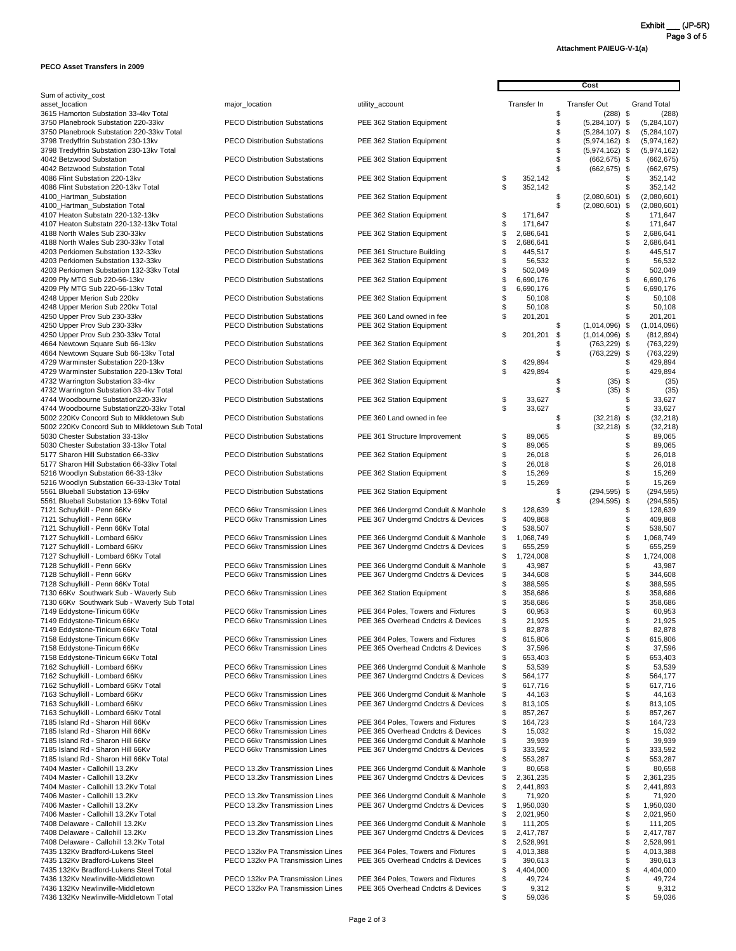**Attachment PAIEUG-V-1(a)**

#### **PECO Asset Transfers in 2009**

|                                                                                   |                                                                      |                                                                            |    | Cost                   |  |                                      |            |                            |
|-----------------------------------------------------------------------------------|----------------------------------------------------------------------|----------------------------------------------------------------------------|----|------------------------|--|--------------------------------------|------------|----------------------------|
| Sum of activity_cost<br>asset location                                            | major_location                                                       | utility_account                                                            |    | Transfer In            |  | <b>Transfer Out</b>                  |            | <b>Grand Total</b>         |
| 3615 Hamorton Substation 33-4kv Total<br>3750 Planebrook Substation 220-33kv      | <b>PECO Distribution Substations</b>                                 | PEE 362 Station Equipment                                                  |    |                        |  | $(288)$ \$<br>$(5,284,107)$ \$       |            | (288)<br>(5,284,107)       |
| 3750 Planebrook Substation 220-33kv Total<br>3798 Tredyffrin Substation 230-13kv  | <b>PECO Distribution Substations</b>                                 | PEE 362 Station Equipment                                                  |    |                        |  | $(5,284,107)$ \$<br>$(5,974,162)$ \$ |            | (5,284,107)<br>(5,974,162) |
| 3798 Tredyffrin Substation 230-13kv Total<br>4042 Betzwood Substation             | <b>PECO Distribution Substations</b>                                 | PEE 362 Station Equipment                                                  |    |                        |  | $(5,974,162)$ \$<br>$(662, 675)$ \$  |            | (5,974,162)<br>(662, 675)  |
| 4042 Betzwood Substation Total<br>4086 Flint Substation 220-13kv                  | <b>PECO Distribution Substations</b>                                 | PEE 362 Station Equipment                                                  |    | 352,142                |  | $(662, 675)$ \$                      |            | (662, 675)<br>352,142      |
| 4086 Flint Substation 220-13kv Total<br>4100_Hartman_Substation                   | <b>PECO Distribution Substations</b>                                 | PEE 362 Station Equipment                                                  |    | 352,142                |  | $(2,080,601)$ \$                     |            | 352,142<br>(2,080,601)     |
| 4100_Hartman_Substation Total<br>4107 Heaton Substatn 220-132-13kv                | <b>PECO Distribution Substations</b>                                 | PEE 362 Station Equipment                                                  |    | 171,647                |  | $(2,080,601)$ \$                     |            | (2,080,601)<br>171,647     |
| 4107 Heaton Substatn 220-132-13kv Total<br>4188 North Wales Sub 230-33kv          | <b>PECO Distribution Substations</b>                                 | PEE 362 Station Equipment                                                  |    | 171,647<br>2,686,641   |  |                                      |            | 171,647<br>2,686,641       |
| 4188 North Wales Sub 230-33kv Total<br>4203 Perkiomen Substation 132-33kv         | <b>PECO Distribution Substations</b>                                 | PEE 361 Structure Building                                                 |    | 2,686,641<br>445,517   |  |                                      |            | 2,686,641<br>445,517       |
| 4203 Perkiomen Substation 132-33kv                                                | <b>PECO Distribution Substations</b>                                 | PEE 362 Station Equipment                                                  |    | 56,532                 |  |                                      |            | 56,532                     |
| 4203 Perkiomen Substation 132-33kv Total                                          |                                                                      |                                                                            |    | 502,049                |  |                                      |            | 502,049                    |
| 4209 Ply MTG Sub 220-66-13kv                                                      | <b>PECO Distribution Substations</b>                                 | PEE 362 Station Equipment                                                  |    | 6,690,176              |  |                                      |            | 6,690,176                  |
| 4209 Ply MTG Sub 220-66-13kv Total<br>4248 Upper Merion Sub 220kv                 | <b>PECO Distribution Substations</b>                                 | PEE 362 Station Equipment                                                  |    | 6,690,176<br>50,108    |  |                                      |            | 6,690,176<br>50,108        |
| 4248 Upper Merion Sub 220kv Total                                                 |                                                                      |                                                                            |    | 50,108                 |  |                                      |            | 50,108                     |
| 4250 Upper Prov Sub 230-33kv                                                      | <b>PECO Distribution Substations</b>                                 | PEE 360 Land owned in fee                                                  |    | 201,201                |  |                                      |            | 201,201                    |
| 4250 Upper Prov Sub 230-33kv<br>4250 Upper Prov Sub 230-33kv Total                | <b>PECO Distribution Substations</b>                                 | PEE 362 Station Equipment                                                  | S  | 201,201                |  | $(1,014,096)$ \$<br>$(1,014,096)$ \$ |            | (1,014,096)<br>(812, 894)  |
| 4664 Newtown Square Sub 66-13kv                                                   | <b>PECO Distribution Substations</b>                                 | PEE 362 Station Equipment                                                  |    |                        |  | $(763, 229)$ \$                      |            | (763, 229)                 |
| 4664 Newtown Square Sub 66-13kv Total                                             |                                                                      |                                                                            |    |                        |  | $(763, 229)$ \$                      |            | (763, 229)                 |
| 4729 Warminster Substation 220-13kv<br>4729 Warminster Substation 220-13kv Total  | <b>PECO Distribution Substations</b>                                 | PEE 362 Station Equipment                                                  | \$ | 429,894<br>429,894     |  |                                      |            | 429,894<br>429,894         |
| 4732 Warrington Substation 33-4kv<br>4732 Warrington Substation 33-4kv Total      | <b>PECO Distribution Substations</b>                                 | PEE 362 Station Equipment                                                  |    |                        |  | (35)<br>(35)                         | - \$<br>\$ | (35)<br>(35)               |
| 4744 Woodbourne Substation220-33kv<br>4744 Woodbourne Substation220-33kv Total    | <b>PECO Distribution Substations</b>                                 | PEE 362 Station Equipment                                                  | \$ | 33,627<br>33,627       |  |                                      |            | 33,627<br>33,627           |
| 5002 220Kv Concord Sub to Mikkletown Sub                                          | <b>PECO Distribution Substations</b>                                 | PEE 360 Land owned in fee                                                  |    |                        |  | $(32,218)$ \$                        |            | (32, 218)                  |
| 5002 220Kv Concord Sub to Mikkletown Sub Total<br>5030 Chester Substation 33-13kv | <b>PECO Distribution Substations</b>                                 | PEE 361 Structure Improvement                                              |    | 89,065                 |  | $(32,218)$ \$                        |            | (32, 218)<br>89,065        |
| 5030 Chester Substation 33-13kv Total<br>5177 Sharon Hill Substation 66-33kv      | <b>PECO Distribution Substations</b>                                 | PEE 362 Station Equipment                                                  |    | 89,065<br>26,018       |  |                                      |            | 89,065<br>26,018           |
| 5177 Sharon Hill Substation 66-33kv Total<br>5216 Woodlyn Substation 66-33-13kv   | <b>PECO Distribution Substations</b>                                 | PEE 362 Station Equipment                                                  |    | 26,018<br>15,269       |  |                                      |            | 26,018<br>15,269           |
| 5216 Woodlyn Substation 66-33-13kv Total                                          |                                                                      |                                                                            |    | 15,269                 |  |                                      |            | 15,269                     |
| 5561 Blueball Substation 13-69kv<br>5561 Blueball Substation 13-69kv Total        | <b>PECO Distribution Substations</b>                                 | PEE 362 Station Equipment                                                  |    |                        |  | $(294, 595)$ \$<br>$(294, 595)$ \$   |            | (294, 595)<br>(294, 595)   |
| 7121 Schuylkill - Penn 66Kv                                                       | PECO 66kv Transmission Lines                                         | PEE 366 Undergrnd Conduit & Manhole                                        | S  | 128,639                |  |                                      |            | 128,639                    |
| 7121 Schuylkill - Penn 66Kv                                                       | PECO 66kv Transmission Lines                                         | PEE 367 Undergrnd Cndctrs & Devices                                        |    | 409,868                |  |                                      |            | 409,868                    |
| 7121 Schuylkill - Penn 66Kv Total                                                 |                                                                      |                                                                            |    | 538,507                |  |                                      |            | 538,507                    |
| 7127 Schuylkill - Lombard 66Kv<br>7127 Schuylkill - Lombard 66Kv                  | PECO 66kv Transmission Lines<br>PECO 66kv Transmission Lines         | PEE 366 Undergrnd Conduit & Manhole<br>PEE 367 Undergrnd Cndctrs & Devices | S  | 1,068,749<br>655,259   |  |                                      |            | 1,068,749<br>655,259       |
| 7127 Schuylkill - Lombard 66Kv Total                                              |                                                                      |                                                                            |    | 1,724,008              |  |                                      |            | 1,724,008                  |
| 7128 Schuylkill - Penn 66Kv                                                       | PECO 66kv Transmission Lines                                         | PEE 366 Undergrnd Conduit & Manhole                                        |    | 43,987                 |  |                                      |            | 43,987                     |
| 7128 Schuylkill - Penn 66Kv                                                       | PECO 66kv Transmission Lines                                         | PEE 367 Undergrnd Cndctrs & Devices                                        |    | 344,608                |  |                                      |            | 344,608                    |
| 7128 Schuylkill - Penn 66Kv Total<br>7130 66Kv Southwark Sub - Waverly Sub        | PECO 66kv Transmission Lines                                         |                                                                            |    | 388,595<br>358,686     |  |                                      |            | 388,595<br>358,686         |
| 7130 66Kv Southwark Sub - Waverly Sub Total                                       |                                                                      | PEE 362 Station Equipment                                                  |    | 358,686                |  |                                      |            | 358,686                    |
| 7149 Eddystone-Tinicum 66Kv                                                       | PECO 66kv Transmission Lines                                         | PEE 364 Poles, Towers and Fixtures                                         |    | 60,953                 |  |                                      |            | 60,953                     |
| 7149 Eddystone-Tinicum 66Kv                                                       | PECO 66kv Transmission Lines                                         | PEE 365 Overhead Cndctrs & Devices                                         |    | 21,925                 |  |                                      |            | 21,925                     |
| 7149 Eddystone-Tinicum 66Kv Total                                                 |                                                                      |                                                                            |    | 82,878                 |  |                                      |            | 82,878                     |
| 7158 Eddystone-Tinicum 66Kv<br>7158 Eddystone-Tinicum 66Kv                        | PECO 66kv Transmission Lines<br>PECO 66kv Transmission Lines         | PEE 364 Poles, Towers and Fixtures<br>PEE 365 Overhead Cndctrs & Devices   |    | 615,806<br>37,596      |  |                                      |            | 615,806<br>37,596          |
| 7158 Eddystone-Tinicum 66Kv Total                                                 |                                                                      |                                                                            |    | 653,403                |  |                                      |            | 653,403                    |
| 7162 Schuylkill - Lombard 66Kv                                                    | PECO 66kv Transmission Lines                                         | PEE 366 Undergrnd Conduit & Manhole                                        |    | 53,539                 |  |                                      |            | 53,539                     |
| 7162 Schuylkill - Lombard 66Kv                                                    | PECO 66kv Transmission Lines                                         | PEE 367 Undergrnd Cndctrs & Devices                                        |    | 564,177                |  |                                      |            | 564,177                    |
| 7162 Schuylkill - Lombard 66Kv Total<br>7163 Schuylkill - Lombard 66Kv            | PECO 66kv Transmission Lines                                         | PEE 366 Undergrnd Conduit & Manhole                                        | \$ | 617,716<br>44,163      |  |                                      |            | 617,716<br>44,163          |
| 7163 Schuylkill - Lombard 66Kv                                                    | PECO 66kv Transmission Lines                                         | PEE 367 Undergrnd Cndctrs & Devices                                        |    | 813,105                |  |                                      |            | 813,105                    |
| 7163 Schuylkill - Lombard 66Kv Total                                              |                                                                      |                                                                            |    | 857,267                |  |                                      |            | 857,267                    |
| 7185 Island Rd - Sharon Hill 66Kv                                                 | PECO 66kv Transmission Lines                                         | PEE 364 Poles, Towers and Fixtures                                         |    | 164,723                |  |                                      |            | 164,723                    |
| 7185 Island Rd - Sharon Hill 66Kv<br>7185 Island Rd - Sharon Hill 66Kv            | PECO 66kv Transmission Lines<br>PECO 66kv Transmission Lines         | PEE 365 Overhead Cndctrs & Devices<br>PEE 366 Undergrnd Conduit & Manhole  |    | 15,032<br>39,939       |  |                                      |            | 15,032<br>39,939           |
| 7185 Island Rd - Sharon Hill 66Kv                                                 | PECO 66kv Transmission Lines                                         | PEE 367 Undergrnd Cndctrs & Devices                                        |    | 333,592                |  |                                      |            | 333,592                    |
| 7185 Island Rd - Sharon Hill 66Kv Total                                           |                                                                      |                                                                            |    | 553,287                |  |                                      |            | 553,287                    |
| 7404 Master - Callohill 13.2Kv                                                    | PECO 13.2kv Transmission Lines                                       | PEE 366 Undergrnd Conduit & Manhole                                        | \$ | 80,658                 |  |                                      |            | 80,658                     |
| 7404 Master - Callohill 13.2Kv<br>7404 Master - Callohill 13.2Kv Total            | PECO 13.2kv Transmission Lines                                       | PEE 367 Undergrnd Cndctrs & Devices                                        |    | 2,361,235<br>2,441,893 |  |                                      |            | 2,361,235<br>2,441,893     |
| 7406 Master - Callohill 13.2Kv                                                    | PECO 13.2kv Transmission Lines                                       | PEE 366 Undergrnd Conduit & Manhole                                        |    | 71,920                 |  |                                      |            | 71,920                     |
| 7406 Master - Callohill 13.2Kv                                                    | PECO 13.2kv Transmission Lines                                       | PEE 367 Undergrnd Cndctrs & Devices                                        |    | 1,950,030              |  |                                      |            | 1,950,030                  |
| 7406 Master - Callohill 13.2Kv Total                                              |                                                                      |                                                                            |    | 2,021,950              |  |                                      |            | 2,021,950                  |
| 7408 Delaware - Callohill 13.2Kv                                                  | PECO 13.2kv Transmission Lines                                       | PEE 366 Undergrnd Conduit & Manhole                                        |    | 111,205                |  |                                      |            | 111,205                    |
| 7408 Delaware - Callohill 13.2Kv<br>7408 Delaware - Callohill 13.2Kv Total        | PECO 13.2kv Transmission Lines                                       | PEE 367 Undergrnd Cndctrs & Devices                                        |    | 2,417,787<br>2,528,991 |  |                                      |            | 2,417,787<br>2,528,991     |
| 7435 132Kv Bradford-Lukens Steel                                                  | PECO 132kv PA Transmission Lines                                     | PEE 364 Poles, Towers and Fixtures                                         |    | 4,013,388              |  |                                      |            | 4,013,388                  |
| 7435 132Kv Bradford-Lukens Steel                                                  | PECO 132kv PA Transmission Lines                                     | PEE 365 Overhead Cndctrs & Devices                                         |    | 390,613                |  |                                      |            | 390,613                    |
| 7435 132Kv Bradford-Lukens Steel Total                                            |                                                                      |                                                                            |    | 4,404,000              |  |                                      |            | 4,404,000                  |
| 7436 132Kv Newlinville-Middletown<br>7436 132Kv Newlinville-Middletown            | PECO 132kv PA Transmission Lines<br>PECO 132kv PA Transmission Lines | PEE 364 Poles, Towers and Fixtures<br>PEE 365 Overhead Cndctrs & Devices   |    | 49,724<br>9,312        |  |                                      |            | 49,724<br>9,312            |
| 7436 132Kv Newlinville-Middletown Total                                           |                                                                      |                                                                            |    | 59,036                 |  |                                      | \$         | 59,036                     |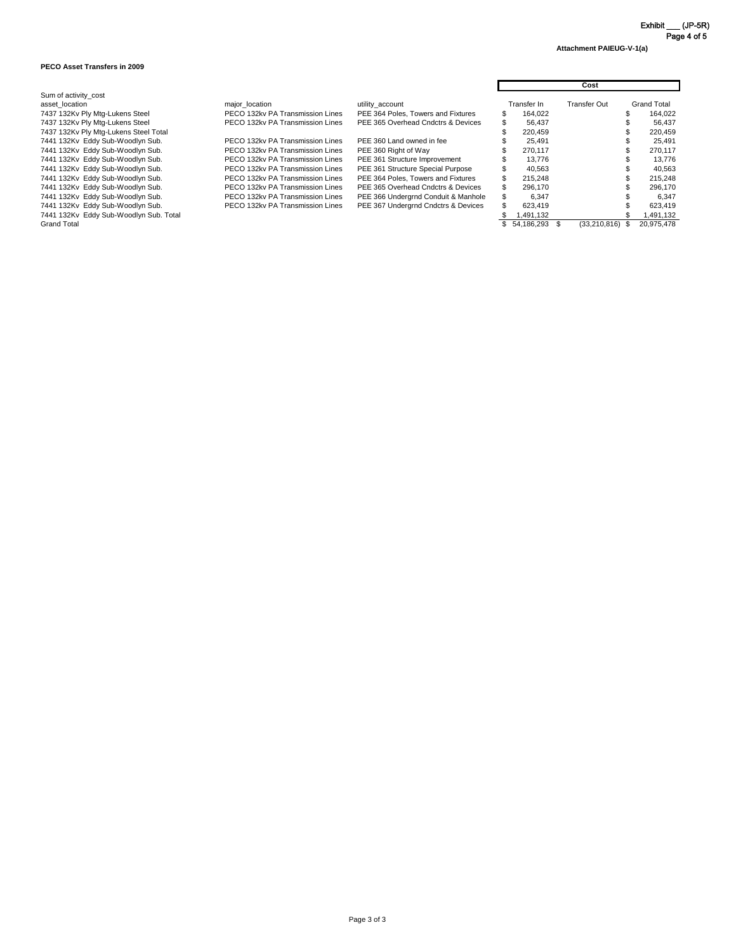**Attachment PAIEUG-V-1(a)**

#### **PECO Asset Transfers in 2009**

|                                        |                                  |                                     | Cost |               |  |                     |  |                    |
|----------------------------------------|----------------------------------|-------------------------------------|------|---------------|--|---------------------|--|--------------------|
| Sum of activity_cost                   |                                  |                                     |      |               |  |                     |  |                    |
| asset location                         | major_location                   | utility_account                     |      | Transfer In   |  | <b>Transfer Out</b> |  | <b>Grand Total</b> |
| 7437 132Kv Ply Mtg-Lukens Steel        | PECO 132kv PA Transmission Lines | PEE 364 Poles, Towers and Fixtures  |      | 164,022       |  |                     |  | 164,022            |
| 7437 132Kv Ply Mtg-Lukens Steel        | PECO 132kv PA Transmission Lines | PEE 365 Overhead Cndctrs & Devices  |      | 56,437        |  |                     |  | 56,437             |
| 7437 132Kv Ply Mtg-Lukens Steel Total  |                                  |                                     |      | 220,459       |  |                     |  | 220,459            |
| 7441 132Kv Eddy Sub-Woodlyn Sub.       | PECO 132kv PA Transmission Lines | PEE 360 Land owned in fee           |      | 25.491        |  |                     |  | 25,491             |
| 7441 132Kv Eddy Sub-Woodlyn Sub.       | PECO 132kv PA Transmission Lines | PEE 360 Right of Way                |      | 270,117       |  |                     |  | 270,117            |
| 7441 132Kv Eddy Sub-Woodlyn Sub.       | PECO 132kv PA Transmission Lines | PEE 361 Structure Improvement       |      | 13,776        |  |                     |  | 13,776             |
| 7441 132Kv Eddy Sub-Woodlyn Sub.       | PECO 132kv PA Transmission Lines | PEE 361 Structure Special Purpose   |      | 40,563        |  |                     |  | 40,563             |
| 7441 132Kv Eddy Sub-Woodlyn Sub.       | PECO 132kv PA Transmission Lines | PEE 364 Poles, Towers and Fixtures  |      | 215,248       |  |                     |  | 215,248            |
| 7441 132Kv Eddy Sub-Woodlyn Sub.       | PECO 132kv PA Transmission Lines | PEE 365 Overhead Cndctrs & Devices  |      | 296,170       |  |                     |  | 296,170            |
| 7441 132Kv Eddy Sub-Woodlyn Sub.       | PECO 132kv PA Transmission Lines | PEE 366 Undergrnd Conduit & Manhole |      | 6.347         |  |                     |  | 6,347              |
| 7441 132Kv Eddy Sub-Woodlyn Sub.       | PECO 132kv PA Transmission Lines | PEE 367 Undergrnd Cndctrs & Devices |      | 623,419       |  |                     |  | 623,419            |
| 7441 132Kv Eddy Sub-Woodlyn Sub. Total |                                  |                                     |      | 1,491,132     |  |                     |  | 1,491,132          |
| <b>Grand Total</b>                     |                                  |                                     |      | 54,186,293 \$ |  | $(33,210,816)$ \$   |  | 20,975,478         |

Exhibit \_\_\_ (JP-5R) Page 4 of 5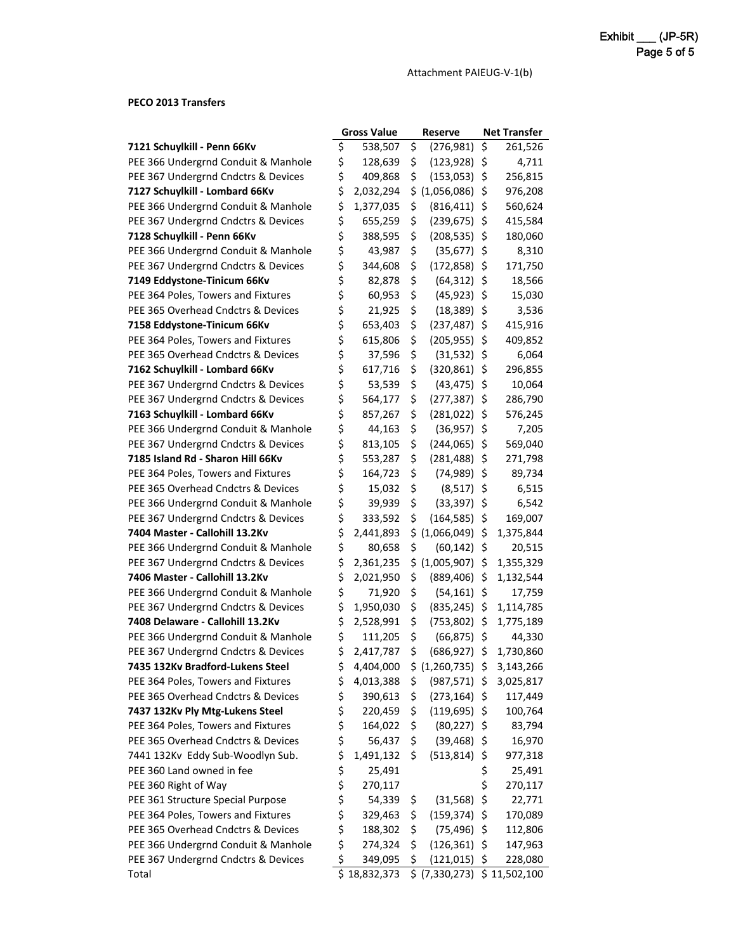Attachment PAIEUG-V-1(b)

### **PECO 2013 Transfers**

|                                     | <b>Gross Value</b> |              |     | <b>Reserve</b>  | <b>Net Transfer</b> |              |  |
|-------------------------------------|--------------------|--------------|-----|-----------------|---------------------|--------------|--|
| 7121 Schuylkill - Penn 66Kv         | \$                 | 538,507      | \$  | (276, 981)      | \$                  | 261,526      |  |
| PEE 366 Undergrnd Conduit & Manhole | \$                 | 128,639      | \$  | (123, 928)      | \$                  | 4,711        |  |
| PEE 367 Undergrnd Cndctrs & Devices | \$                 | 409,868      | \$  | (153, 053)      | \$                  | 256,815      |  |
| 7127 Schuylkill - Lombard 66Kv      | \$                 | 2,032,294    | \$  | (1,056,086)     | \$                  | 976,208      |  |
| PEE 366 Undergrnd Conduit & Manhole | \$                 | 1,377,035    | \$  | (816, 411)      | \$                  | 560,624      |  |
| PEE 367 Undergrnd Cndctrs & Devices | \$                 | 655,259      | \$  | (239, 675)      | \$                  | 415,584      |  |
| 7128 Schuylkill - Penn 66Kv         | \$                 | 388,595      | \$  | (208, 535)      | \$                  | 180,060      |  |
| PEE 366 Undergrnd Conduit & Manhole | \$                 | 43,987       | \$  | (35, 677)       | \$                  | 8,310        |  |
| PEE 367 Undergrnd Cndctrs & Devices | \$                 | 344,608      | \$  | (172, 858)      | \$                  | 171,750      |  |
| 7149 Eddystone-Tinicum 66Kv         | \$                 | 82,878       | \$  | (64, 312)       | \$                  | 18,566       |  |
| PEE 364 Poles, Towers and Fixtures  | \$                 | 60,953       | \$  | (45, 923)       | \$                  | 15,030       |  |
| PEE 365 Overhead Cndctrs & Devices  | \$                 | 21,925       | \$  | (18, 389)       | \$                  | 3,536        |  |
| 7158 Eddystone-Tinicum 66Kv         | \$                 | 653,403      | \$  | (237, 487)      | \$                  | 415,916      |  |
| PEE 364 Poles, Towers and Fixtures  | \$                 | 615,806      | \$  | (205, 955)      | \$                  | 409,852      |  |
| PEE 365 Overhead Cndctrs & Devices  | \$                 | 37,596       | \$  | (31, 532)       | \$                  | 6,064        |  |
| 7162 Schuylkill - Lombard 66Kv      | \$                 | 617,716      | \$  | (320, 861)      | \$                  | 296,855      |  |
| PEE 367 Undergrnd Cndctrs & Devices | \$                 | 53,539       | \$  | (43, 475)       | \$                  | 10,064       |  |
| PEE 367 Undergrnd Cndctrs & Devices | \$                 | 564,177      | \$  | (277, 387)      | \$                  | 286,790      |  |
| 7163 Schuylkill - Lombard 66Kv      | \$                 | 857,267      | \$  | (281, 022)      | \$                  | 576,245      |  |
| PEE 366 Undergrnd Conduit & Manhole | \$                 | 44,163       | \$  | (36, 957)       | \$                  | 7,205        |  |
| PEE 367 Undergrnd Cndctrs & Devices | \$                 | 813,105      | \$  | (244, 065)      | \$                  | 569,040      |  |
| 7185 Island Rd - Sharon Hill 66Kv   | \$                 | 553,287      | \$  | (281, 488)      | \$                  | 271,798      |  |
| PEE 364 Poles, Towers and Fixtures  | \$                 | 164,723      | \$  | (74, 989)       | \$                  | 89,734       |  |
| PEE 365 Overhead Cndctrs & Devices  | \$                 | 15,032       | \$  | (8, 517)        | \$                  | 6,515        |  |
| PEE 366 Undergrnd Conduit & Manhole | \$                 | 39,939       | \$  | (33, 397)       | \$                  | 6,542        |  |
| PEE 367 Undergrnd Cndctrs & Devices | \$                 | 333,592      | \$  | (164, 585)      | \$                  | 169,007      |  |
| 7404 Master - Callohill 13.2Kv      | \$                 | 2,441,893    |     | \$(1,066,049)   | \$                  | 1,375,844    |  |
| PEE 366 Undergrnd Conduit & Manhole | \$                 | 80,658       | \$  | (60, 142)       | \$                  | 20,515       |  |
| PEE 367 Undergrnd Cndctrs & Devices | \$                 | 2,361,235    |     | \$ (1,005,907)  | \$                  | 1,355,329    |  |
| 7406 Master - Callohill 13.2Kv      | \$                 | 2,021,950    | \$  | (889, 406)      | \$                  | 1,132,544    |  |
| PEE 366 Undergrnd Conduit & Manhole | \$                 | 71,920       | \$  | $(54, 161)$ \$  |                     | 17,759       |  |
| PEE 367 Undergrnd Cndctrs & Devices | \$                 | 1,950,030    | \$  | $(835, 245)$ \$ |                     | 1,114,785    |  |
| 7408 Delaware - Callohill 13.2Kv    | \$                 | 2,528,991    | \$  | (753, 802)      | \$.                 | 1,775,189    |  |
| PEE 366 Undergrnd Conduit & Manhole | \$                 | 111,205      | \$  | $(66,875)$ \$   |                     | 44,330       |  |
| PEE 367 Undergrnd Cndctrs & Devices | \$                 | 2,417,787    | \$  | $(686, 927)$ \$ |                     | 1,730,860    |  |
| 7435 132Kv Bradford-Lukens Steel    | \$                 | 4,404,000    | \$. | (1,260,735)     | -Ş                  | 3,143,266    |  |
| PEE 364 Poles, Towers and Fixtures  | \$                 | 4,013,388    | \$  | $(987, 571)$ \$ |                     | 3,025,817    |  |
| PEE 365 Overhead Cndctrs & Devices  | \$                 | 390,613      | \$  | (273, 164)      | \$                  | 117,449      |  |
| 7437 132Kv Ply Mtg-Lukens Steel     | \$                 | 220,459      | \$  | $(119, 695)$ \$ |                     | 100,764      |  |
| PEE 364 Poles, Towers and Fixtures  | \$                 | 164,022      | \$  | $(80, 227)$ \$  |                     | 83,794       |  |
| PEE 365 Overhead Cndctrs & Devices  | \$                 | 56,437       | \$  | $(39, 468)$ \$  |                     | 16,970       |  |
| 7441 132Kv Eddy Sub-Woodlyn Sub.    | \$                 | 1,491,132    | \$  | (513, 814)      | \$                  | 977,318      |  |
| PEE 360 Land owned in fee           | \$                 | 25,491       |     |                 | \$                  | 25,491       |  |
| PEE 360 Right of Way                | \$                 | 270,117      |     |                 | \$                  | 270,117      |  |
| PEE 361 Structure Special Purpose   | \$                 | 54,339       | \$  | (31, 568)       | \$                  | 22,771       |  |
| PEE 364 Poles, Towers and Fixtures  | \$                 | 329,463      | \$  | (159, 374)      | \$                  | 170,089      |  |
| PEE 365 Overhead Cndctrs & Devices  | \$                 | 188,302      | \$  | $(75, 496)$ \$  |                     | 112,806      |  |
| PEE 366 Undergrnd Conduit & Manhole | \$                 | 274,324      | \$  | (126, 361)      | \$                  | 147,963      |  |
| PEE 367 Undergrnd Cndctrs & Devices | \$                 | 349,095      | \$  | (121, 015)      | $\zeta$             | 228,080      |  |
| Total                               |                    | \$18,832,373 |     | \$ (7,330,273)  |                     | \$11,502,100 |  |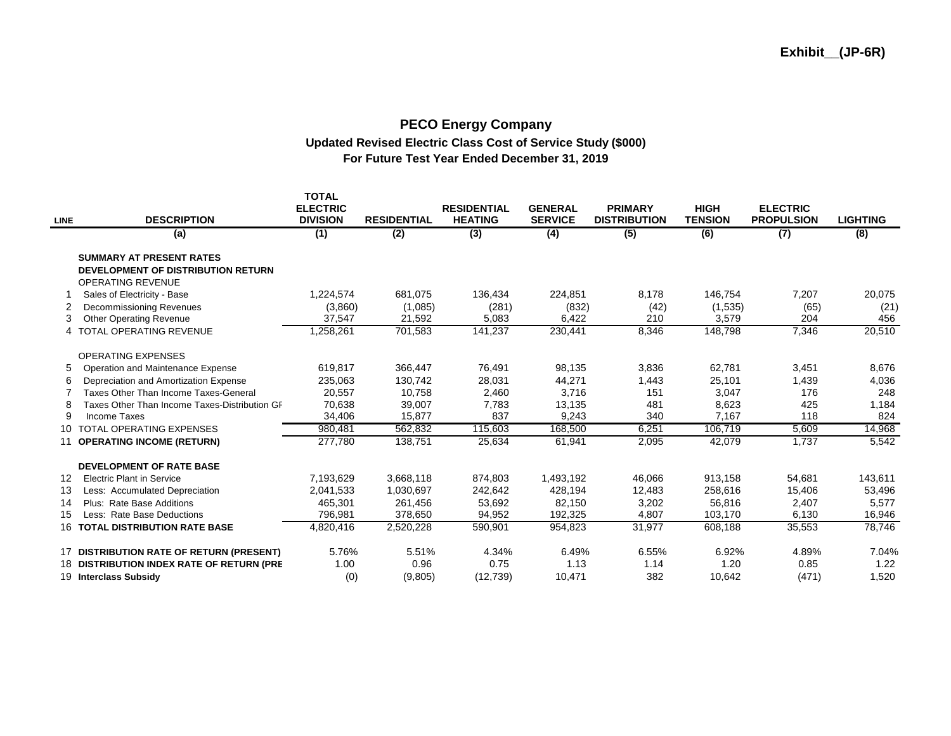#### **PECO Energy Company Updated Revised Electric Class Cost of Service Study (\$000) For Future Test Year Ended December 31, 2019**

| <b>LINE</b> | <b>DESCRIPTION</b>                                                                                       | <b>TOTAL</b><br><b>ELECTRIC</b><br><b>DIVISION</b> | <b>RESIDENTIAL</b> | <b>RESIDENTIAL</b><br><b>HEATING</b> | <b>GENERAL</b><br><b>SERVICE</b> | <b>PRIMARY</b><br><b>DISTRIBUTION</b> | <b>HIGH</b><br><b>TENSION</b> | <b>ELECTRIC</b><br><b>PROPULSION</b> | <b>LIGHTING</b> |
|-------------|----------------------------------------------------------------------------------------------------------|----------------------------------------------------|--------------------|--------------------------------------|----------------------------------|---------------------------------------|-------------------------------|--------------------------------------|-----------------|
|             | (a)                                                                                                      | (1)                                                | (2)                | (3)                                  | (4)                              | (5)                                   | (6)                           | (7)                                  | (8)             |
|             | <b>SUMMARY AT PRESENT RATES</b><br><b>DEVELOPMENT OF DISTRIBUTION RETURN</b><br><b>OPERATING REVENUE</b> |                                                    |                    |                                      |                                  |                                       |                               |                                      |                 |
|             | Sales of Electricity - Base                                                                              | 1,224,574                                          | 681,075            | 136,434                              | 224,851                          | 8,178                                 | 146,754                       | 7,207                                | 20,075          |
| 2<br>3      | <b>Decommissioning Revenues</b><br><b>Other Operating Revenue</b>                                        | (3,860)<br>37,547                                  | (1,085)<br>21,592  | (281)<br>5,083                       | (832)<br>6,422                   | (42)<br>210                           | (1,535)<br>3,579              | (65)<br>204                          | (21)<br>456     |
|             | 4 TOTAL OPERATING REVENUE                                                                                | 1,258,261                                          | 701,583            | 141,237                              | 230,441                          | 8,346                                 | 148,798                       | 7,346                                | 20,510          |
|             | <b>OPERATING EXPENSES</b>                                                                                |                                                    |                    |                                      |                                  |                                       |                               |                                      |                 |
| 5           | Operation and Maintenance Expense                                                                        | 619,817                                            | 366,447            | 76,491                               | 98,135                           | 3,836                                 | 62,781                        | 3,451                                | 8,676           |
| 6           | Depreciation and Amortization Expense                                                                    | 235,063                                            | 130,742            | 28,031                               | 44,271                           | 1,443                                 | 25,101                        | 1,439                                | 4,036           |
|             | Taxes Other Than Income Taxes-General                                                                    | 20,557                                             | 10,758             | 2,460                                | 3,716                            | 151                                   | 3,047                         | 176                                  | 248             |
|             | Taxes Other Than Income Taxes-Distribution GF                                                            | 70,638                                             | 39,007             | 7,783                                | 13,135                           | 481                                   | 8,623                         | 425                                  | 1,184           |
| 9           | <b>Income Taxes</b>                                                                                      | 34,406                                             | 15,877             | 837                                  | 9,243                            | 340                                   | 7,167                         | 118                                  | 824             |
|             | 10 TOTAL OPERATING EXPENSES                                                                              | 980,481                                            | 562,832            | 115,603                              | 168,500                          | 6,251                                 | 106,719                       | 5,609                                | 14,968          |
|             | 11 OPERATING INCOME (RETURN)                                                                             | 277,780                                            | 138.751            | 25,634                               | 61,941                           | 2,095                                 | 42,079                        | 1.737                                | 5,542           |
|             | <b>DEVELOPMENT OF RATE BASE</b>                                                                          |                                                    |                    |                                      |                                  |                                       |                               |                                      |                 |
| 12          | <b>Electric Plant in Service</b>                                                                         | 7,193,629                                          | 3,668,118          | 874,803                              | 1,493,192                        | 46,066                                | 913,158                       | 54,681                               | 143,611         |
| 13          | Less: Accumulated Depreciation                                                                           | 2,041,533                                          | 1,030,697          | 242,642                              | 428,194                          | 12,483                                | 258,616                       | 15,406                               | 53,496          |
| 14          | Plus: Rate Base Additions                                                                                | 465,301                                            | 261,456            | 53,692                               | 82,150                           | 3,202                                 | 56,816                        | 2,407                                | 5,577           |
| 15          | Less: Rate Base Deductions                                                                               | 796,981                                            | 378,650            | 94,952                               | 192,325                          | 4,807                                 | 103,170                       | 6,130                                | 16,946          |
|             | <b>16 TOTAL DISTRIBUTION RATE BASE</b>                                                                   | 4,820,416                                          | 2,520,228          | 590,901                              | 954,823                          | 31,977                                | 608,188                       | 35,553                               | 78,746          |
|             | 17 DISTRIBUTION RATE OF RETURN (PRESENT)                                                                 | 5.76%                                              | 5.51%              | 4.34%                                | 6.49%                            | 6.55%                                 | 6.92%                         | 4.89%                                | 7.04%           |
|             | 18 DISTRIBUTION INDEX RATE OF RETURN (PRE                                                                | 1.00                                               | 0.96               | 0.75                                 | 1.13                             | 1.14                                  | 1.20                          | 0.85                                 | 1.22            |
|             | 19 Interclass Subsidy                                                                                    | (0)                                                | (9,805)            | (12, 739)                            | 10,471                           | 382                                   | 10,642                        | (471)                                | 1,520           |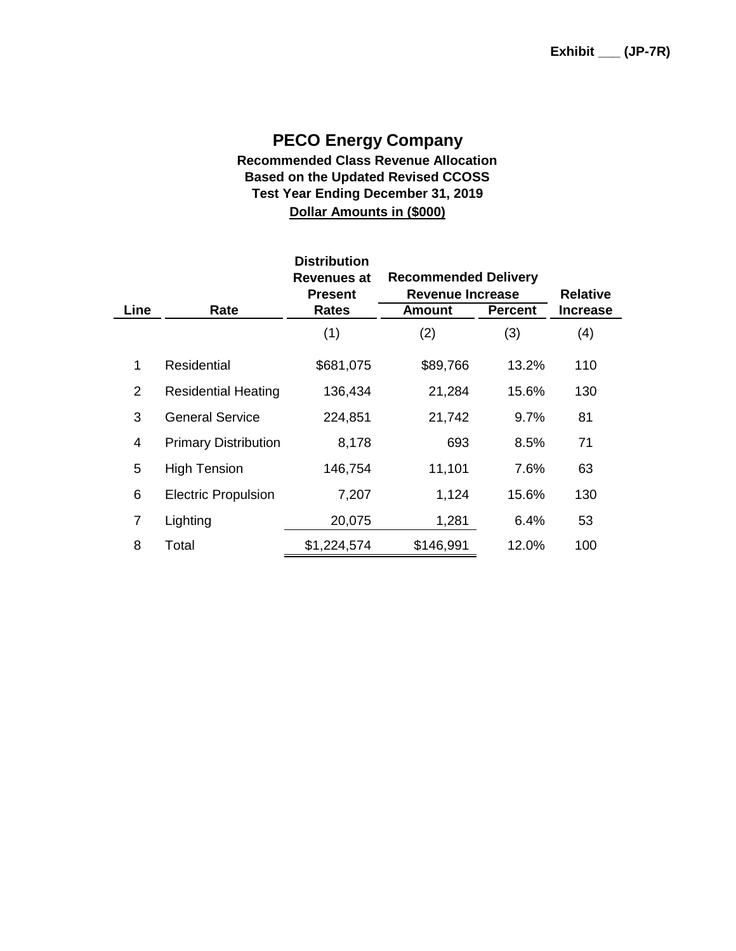### **PECO Energy Company Recommended Class Revenue Allocation Based on the Updated Revised CCOSS Test Year Ending December 31, 2019 Dollar Amounts in (\$000)**

|                |                             | <b>Distribution</b><br>Revenues at<br><b>Present</b> | <b>Recommended Delivery</b><br><b>Revenue Increase</b> | <b>Relative</b> |                 |
|----------------|-----------------------------|------------------------------------------------------|--------------------------------------------------------|-----------------|-----------------|
| Line           | Rate                        | Rates                                                | Amount                                                 | <b>Percent</b>  | <b>Increase</b> |
|                |                             | (1)                                                  | (2)                                                    | (3)             | (4)             |
| 1              | Residential                 | \$681,075                                            | \$89,766                                               | 13.2%           | 110             |
| 2              | <b>Residential Heating</b>  | 136,434                                              | 21,284                                                 | 15.6%           | 130             |
| 3              | <b>General Service</b>      | 224,851                                              | 21,742                                                 | 9.7%            | 81              |
| 4              | <b>Primary Distribution</b> | 8,178                                                | 693                                                    | 8.5%            | 71              |
| 5              | <b>High Tension</b>         | 146,754                                              | 11,101                                                 | 7.6%            | 63              |
| 6              | <b>Electric Propulsion</b>  | 7,207                                                | 1,124                                                  | 15.6%           | 130             |
| $\overline{7}$ | Lighting                    | 20,075                                               | 1,281                                                  | 6.4%            | 53              |
| 8              | Total                       | \$1,224,574                                          | \$146,991                                              | 12.0%           | 100             |